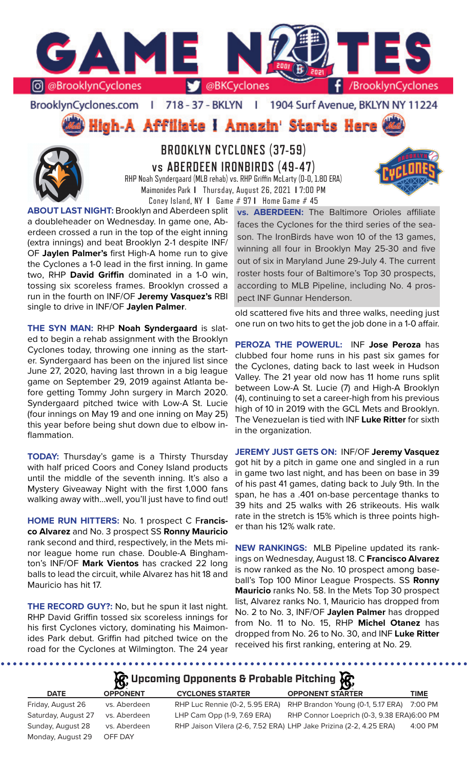

### BrooklynCyclones.com | 718 - 37 - BKLYN - 11 1904 Surf Avenue, BKLYN NY 11224

High-A Affiliate I Amazin' Starts Here



# **BROOKLYN CYCLONES (37-59) vs ABERDEEN IRONBIRDS (49-47)**

RHP Noah Syndergaard (MLB rehab) vs. RHP Griffin McLarty (0-0, 1.80 ERA) Maimonides Park **I** Thursday, August 26, 2021 **I** 7:00 PM Coney Island, NY **I** Game # 97 **I** Home Game # 45

**ABOUT LAST NIGHT:** Brooklyn and Aberdeen split a doubleheader on Wednesday. In game one, Aberdeen crossed a run in the top of the eight inning (extra innings) and beat Brooklyn 2-1 despite INF/ OF **Jaylen Palmer's** first High-A home run to give the Cyclones a 1-0 lead in the first inning. In game two, RHP **David Griffin** dominated in a 1-0 win, tossing six scoreless frames. Brooklyn crossed a run in the fourth on INF/OF **Jeremy Vasquez's** RBI single to drive in INF/OF **Jaylen Palmer**.

**THE SYN MAN:** RHP **Noah Syndergaard** is slated to begin a rehab assignment with the Brooklyn Cyclones today, throwing one inning as the starter. Syndergaard has been on the injured list since June 27, 2020, having last thrown in a big league game on September 29, 2019 against Atlanta before getting Tommy John surgery in March 2020. Syndergaard pitched twice with Low-A St. Lucie (four innings on May 19 and one inning on May 25) this year before being shut down due to elbow inflammation.

**TODAY:** Thursday's game is a Thirsty Thursday with half priced Coors and Coney Island products until the middle of the seventh inning. It's also a Mystery Giveaway Night with the first 1,000 fans walking away with...well, you'll just have to find out!

**HOME RUN HITTERS:** No. 1 prospect C F**rancisco Alvarez** and No. 3 prospect SS **Ronny Mauricio**  rank second and third, respectively, in the Mets minor league home run chase. Double-A Binghamton's INF/OF **Mark Vientos** has cracked 22 long balls to lead the circuit, while Alvarez has hit 18 and Mauricio has hit 17.

**THE RECORD GUY?:** No, but he spun it last night. RHP David Griffin tossed six scoreless innings for his first Cyclones victory, dominating his Maimonides Park debut. Griffin had pitched twice on the road for the Cyclones at Wilmington. The 24 year

**vs. ABERDEEN:** The Baltimore Orioles affiliate faces the Cyclones for the third series of the season. The IronBirds have won 10 of the 13 games, winning all four in Brooklyn May 25-30 and five out of six in Maryland June 29-July 4. The current roster hosts four of Baltimore's Top 30 prospects, according to MLB Pipeline, including No. 4 prospect INF Gunnar Henderson.

old scattered five hits and three walks, needing just one run on two hits to get the job done in a 1-0 affair.

**PEROZA THE POWERUL:** INF **Jose Peroza** has clubbed four home runs in his past six games for the Cyclones, dating back to last week in Hudson Valley. The 21 year old now has 11 home runs split between Low-A St. Lucie (7) and High-A Brooklyn (4), continuing to set a career-high from his previous high of 10 in 2019 with the GCL Mets and Brooklyn. The Venezuelan is tied with INF **Luke Ritter** for sixth in the organization.

**JEREMY JUST GETS ON:** INF/OF **Jeremy Vasquez**  got hit by a pitch in game one and singled in a run in game two last night, and has been on base in 39 of his past 41 games, dating back to July 9th. In the span, he has a .401 on-base percentage thanks to 39 hits and 25 walks with 26 strikeouts. His walk rate in the stretch is 15% which is three points higher than his 12% walk rate.

**NEW RANKINGS:** MLB Pipeline updated its rankings on Wednesday, August 18. C **Francisco Alvarez**  is now ranked as the No. 10 prospect among baseball's Top 100 Minor League Prospects. SS **Ronny Mauricio** ranks No. 58. In the Mets Top 30 prospect list, Alvarez ranks No. 1, Mauricio has dropped from No. 2 to No. 3, INF/OF **Jaylen Palmer** has dropped from No. 11 to No. 15, RHP **Michel Otanez** has dropped from No. 26 to No. 30, and INF **Luke Ritter** received his first ranking, entering at No. 29.

**Upcoming Opponents & Probable Pitching**

|                     |                 | $\mathbf{Q}$                   |                                                                    |             |
|---------------------|-----------------|--------------------------------|--------------------------------------------------------------------|-------------|
| <b>DATE</b>         | <b>OPPONENT</b> | <b>CYCLONES STARTER</b>        | <b>OPPONENT STARTER</b>                                            | <b>TIME</b> |
| Friday, August 26   | vs. Aberdeen    | RHP Luc Rennie (0-2, 5.95 ERA) | RHP Brandon Young (0-1, 5.17 ERA)                                  | 7:00 PM     |
| Saturday, August 27 | vs. Aberdeen    | LHP Cam Opp (1-9, 7.69 ERA)    | RHP Connor Loeprich (0-3, 9.38 ERA)6:00 PM                         |             |
| Sunday, August 28   | vs. Aberdeen    |                                | RHP Jaison Vilera (2-6, 7.52 ERA) LHP Jake Prizina (2-2, 4.25 ERA) | $4:00$ PM   |
| Monday, August 29   | OFF DAY         |                                |                                                                    |             |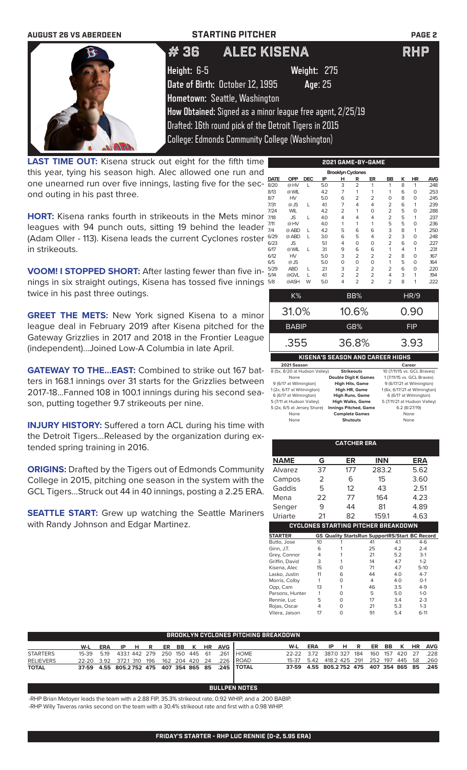| <b>AUGUST 26 VS ABERDEEN</b> |             | <b>STARTING PITCHER</b>                                    | <b>PAGE 2</b> |
|------------------------------|-------------|------------------------------------------------------------|---------------|
| O,                           | #36         | ALEC KISENA                                                | <b>RHP</b>    |
|                              | Height: 6-5 | Weight: 275                                                |               |
|                              |             | Date of Birth: October 12, 1995<br>Age: 25                 |               |
|                              |             | Hometown: Seattle, Washington                              |               |
|                              |             | How Obtained: Signed as a minor league free agent, 2/25/19 |               |
|                              |             | Drafted: 16th round pick of the Detroit Tigers in 2015     |               |
|                              |             | <b>College: Edmonds Community College (Washington)</b>     |               |

**LAST TIME OUT:** Kisena struck out eight for the fifth time | this year, tying his season high. Alec allowed one run and one unearned run over five innings, lasting five for the second outing in his past three.

**HORT:** Kisena ranks fourth in strikeouts in the Mets minor leagues with 94 punch outs, sitting 19 behind the leader (Adam Oller - 113). Kisena leads the current Cyclones roster in strikeouts.

**VOOM! I STOPPED SHORT:** After lasting fewer than five innings in six straight outings, Kisena has tossed five innings twice in his past three outings.

**GREET THE METS:** New York signed Kisena to a minor league deal in February 2019 after Kisena pitched for the Gateway Grizzlies in 2017 and 2018 in the Frontier League (independent)...Joined Low-A Columbia in late April.

**GATEWAY TO THE...EAST:** Combined to strike out 167 batters in 168.1 innings over 31 starts for the Grizzlies between 2017-18...Fanned 108 in 100.1 innings during his second season, putting together 9.7 strikeouts per nine.

**INJURY HISTORY:** Suffered a torn ACL during his time with the Detroit Tigers...Released by the organization during extended spring training in 2016.

**ORIGINS:** Drafted by the Tigers out of Edmonds Community College in 2015, pitching one season in the system with the GCL Tigers...Struck out 44 in 40 innings, posting a 2.25 ERA.

**SEATTLE START:** Grew up watching the Seattle Mariners with Randy Johnson and Edgar Martinez.

| 2021 GAME-BY-GAME |            |            |     |                          |                |                |                |   |          |            |
|-------------------|------------|------------|-----|--------------------------|----------------|----------------|----------------|---|----------|------------|
|                   |            |            |     | <b>Brooklyn Cyclones</b> |                |                |                |   |          |            |
| DATE              | OPP        | <b>DEC</b> | IP  | н                        | R              | ER             | BB             | Κ | HR       | <b>AVG</b> |
| 8/20              | @HV        | L          | 5.0 | 3                        | $\overline{2}$ | 1              | 1              | 8 | 1        | .248       |
| 8/13              | @ WIL      |            | 4.2 | 7                        | 1              | 1              | 1              | 6 | $\Omega$ | .253       |
| 8/7               | HV         |            | 5.0 | 6                        | $\overline{2}$ | $\overline{2}$ | $\Omega$       | 8 | $\Omega$ | .245       |
| 7/31              | @ JS       | L          | 4.1 | 7                        | 4              | 4              | 2              | 6 | 1        | .239       |
| 7/24              | <b>WIL</b> |            | 4.2 | $\overline{2}$           | 1              | O              | $\overline{2}$ | 5 | $\Omega$ | .288       |
| 7/18              | <b>JS</b>  | L          | 4.0 | 4                        | 4              | 4              | $\overline{2}$ | 5 | 1        | .237       |
| 7/11              | @HV        |            | 4.0 | 1                        | 1              | 1              | 5              | 5 | $\Omega$ | .236       |
| 7/4               | @ ABD      | L          | 4.2 | 5                        | 6              | 6              | 3              | 8 | 1        | .250       |
| 6/29              | @ ABD      | L          | 3.0 | 6                        | 5              | 4              | $\overline{2}$ | 3 | 0        | .248       |
| 6/23              | <b>JS</b>  |            | 5.1 | 4                        | 0              | 0              | $\overline{2}$ | 6 | $\Omega$ | .227       |
| 6/17              | @ WIL      | L          | 3.1 | 9                        | 6              | 6              | 1              | 4 | 1        | .231       |
| 6/12              | HV         |            | 5.0 | 3                        | 2              | $\overline{2}$ | 2              | 8 | $\Omega$ | .167       |
| 6/5               | @ JS       |            | 5.0 | 0                        | 0              | 0              | 1              | 5 | $\Omega$ | .164       |
| 5/29              | <b>ABD</b> | L          | 21  | 3                        | $\overline{2}$ | $\overline{2}$ | 2              | 6 | $\Omega$ | .220       |
| 5/14              | @GVL       | L          | 41  | $\overline{2}$           | $\overline{2}$ | $\overline{2}$ | 4              | 3 | 1        | .194       |
| 5/8               | @ASH       | W          | 5.0 | 4                        | $\overline{2}$ | 2              | $\overline{2}$ | 8 | 1        | .222       |

| K%                                      | BB%   | HR/9 |  |  |  |  |
|-----------------------------------------|-------|------|--|--|--|--|
| 31.0%                                   | 10.6% | 0.90 |  |  |  |  |
| <b>BABIP</b>                            | GB%   | FIP  |  |  |  |  |
| .355                                    | 36.8% | 3.93 |  |  |  |  |
| <b>KISENA'S SEASON AND CAREER HIGHS</b> |       |      |  |  |  |  |

| 2021 Season                   |                              | Career                        |
|-------------------------------|------------------------------|-------------------------------|
| 8 (5x, 8/20 at Hudson Valley) | <b>Strikeouts</b>            | 10 (7/11/15 vs. GCL Braves)   |
| None                          | <b>Double Digit K Games</b>  | 1 (7/11/15 vs. GCL Braves)    |
| 9 (6/17 at Wilmington)        | <b>High Hits, Game</b>       | 9 (6/17/21 at Wilmington)     |
| 1 (2x, 6/17 at Wilmington)    | <b>High HR, Game</b>         | 1 (6x, 6/17/21 at Wilmington) |
| 6 (6/17 at Wilmington)        | <b>High Runs, Game</b>       | 6 (6/17 at Wilmington)        |
| 5 (7/11 at Hudson Valley)     | <b>High Walks, Game</b>      | 5 (7/11/21 at Hudson Valley)  |
| 5 (2x, 6/5 at Jersey Shore)   | <b>Innings Pitched, Game</b> | 6.2 (8/27/19)                 |
| None                          | <b>Complete Games</b>        | None                          |
| None                          | <b>Shutouts</b>              | None                          |
|                               |                              |                               |

|                                            |    | <b>CATCHER ERA</b>                                    |       |     |         |  |  |  |  |
|--------------------------------------------|----|-------------------------------------------------------|-------|-----|---------|--|--|--|--|
| <b>NAME</b>                                | G  | ER                                                    | INN   |     | ERA     |  |  |  |  |
| Alvarez                                    | 37 | 177                                                   | 283.2 |     | 5.62    |  |  |  |  |
| Campos                                     | 2  | 6                                                     | 15    |     | 3.60    |  |  |  |  |
| Gaddis                                     | 5  | 12                                                    | 43    |     | 2.51    |  |  |  |  |
| Mena                                       | 22 | 77                                                    | 164   |     | 4.23    |  |  |  |  |
| Senger                                     | 9  | 44                                                    | 81    |     | 4.89    |  |  |  |  |
| Uriarte                                    | 21 | 82                                                    | 159.1 |     | 4.63    |  |  |  |  |
| <b>CYCLONES STARTING PITCHER BREAKDOWN</b> |    |                                                       |       |     |         |  |  |  |  |
| <b>STARTER</b>                             |    | <b>GS Quality StartsRun SupportRS/Start BC Record</b> |       |     |         |  |  |  |  |
| Butto, Jose                                | 10 |                                                       | 41    | 4.1 | $4-6$   |  |  |  |  |
|                                            |    |                                                       |       |     |         |  |  |  |  |
| Ginn, J.T.                                 | 6  |                                                       | 25    | 4.2 | $2 - 4$ |  |  |  |  |
| Grey, Connor                               | 4  | 1                                                     | 21    | 5.2 | $3-1$   |  |  |  |  |
| Griffin, David                             | 3  | 1                                                     | 14    | 4.7 | $1 - 2$ |  |  |  |  |
| Kisena, Alec                               | 15 | 0                                                     | 71    | 4.7 | $5-10$  |  |  |  |  |
| Lasko, Justin                              | 11 | 6                                                     | 44    | 4.0 | $4 - 7$ |  |  |  |  |
| Morris, Colby                              | 1  | 0                                                     | 4     | 4.0 | $O-1$   |  |  |  |  |
| Opp, Cam                                   | 13 | 1                                                     | 46    | 3.5 | $4 - 9$ |  |  |  |  |
| Parsons, Hunter                            | 1  | O                                                     | 5     | 5.0 | $1 - 0$ |  |  |  |  |
| Rennie, Luc                                | 5  | 0                                                     | 17    | 3.4 | $2 - 3$ |  |  |  |  |
| Rojas, Oscar                               | 4  | 0                                                     | 21    | 5.3 | $1 - 3$ |  |  |  |  |

| BROOKLYN CYCLONES PITCHING BREAKDOWN |                                                   |  |  |  |  |  |  |  |  |                               |                                                             |                                              |  |  |  |  |  |
|--------------------------------------|---------------------------------------------------|--|--|--|--|--|--|--|--|-------------------------------|-------------------------------------------------------------|----------------------------------------------|--|--|--|--|--|
|                                      |                                                   |  |  |  |  |  |  |  |  | W-L ERA IP H R ER BB K HR AVG |                                                             | W-L ERA IP H R ER BB K HR AVG                |  |  |  |  |  |
| <b>STARTERS</b>                      |                                                   |  |  |  |  |  |  |  |  |                               | 15-39  5.19  433.1  442  279  250  150  445  61  .261  HOME | 22-22 3.72 387.0 327 184 160 157 420 27 .228 |  |  |  |  |  |
| <b>RELIEVERS</b>                     | 22-20 3.92 372.1 310 196 162 204 420 24 .226 ROAD |  |  |  |  |  |  |  |  |                               |                                                             | 15-37 5.42 418.2 425 291 252 197 445 58 .260 |  |  |  |  |  |
| <b>TOTAL</b>                         |                                                   |  |  |  |  |  |  |  |  |                               | 37-59 4.55 805.2752 475 407 354 865 85 .245 TOTAL           | 37-59 4.55 805.2752 475 407 354 865 85 .245  |  |  |  |  |  |

## **BULLPEN NOTES**

-RHP Brian Metoyer leads the team with a 2.88 FIP, 35.3% strikeout rate, 0.92 WHIP, and a .200 BABIP. -RHP Willy Taveras ranks second on the team with a 30.4% strikeout rate and first with a 0.98 WHIP.

**FRIDAY'S STARTER - RHP LUC RENNIE (0-2, 5.95 ERA)**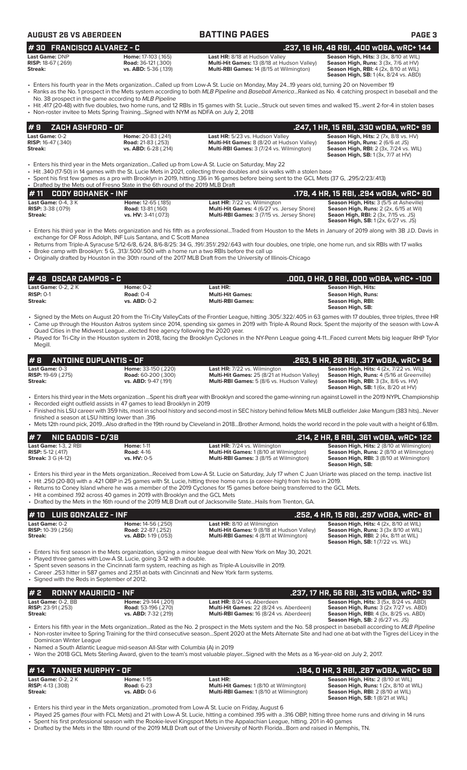| AUGUST 26 VS ABERDEEI |
|-----------------------|
|-----------------------|

**30 FRANCISCO ALVAREZ** 

## **AUGUST 26 VS ABERDEEN BATTING PAGES PAGE 3**

|  | .237. 16 HR. 48 RBI. .400 WOBA. WRC+ 144 |
|--|------------------------------------------|
|  |                                          |

| <b>Last Game:</b> DNP     | Home: 17-103 (.165)         | <b>Last HR:</b> 8/18 at Hudson Valley              | Season High, Hits: 3 (3x, 8/10 at WIL                  |
|---------------------------|-----------------------------|----------------------------------------------------|--------------------------------------------------------|
| <b>RISP:</b> 18-67 (.269) | <b>Road:</b> 36-121 (.300)  | <b>Multi-Hit Games: 13 (8/18 at Hudson Valley)</b> | <b>Season High, Runs:</b> $3$ ( $3x$ , $7/6$ at $HV$ ) |
| Streak:                   | <b>vs. ABD:</b> 5-36 (.139) | <b>Multi-RBI Games: 14 (8/15 at Wilmington)</b>    | <b>Season High, RBI:</b> $4$ (2x, 8/10 at WIL)         |

**Last HR:** 8/18 at Hudson Valley **Season High, Hits:** 3 (3x, 8/10 at WIL) **Multi-Hit Games:** 13 (8/18 at Hudson Valley) **Season High, Runs:** 3 (3x, 7/6 at HV) **Multi-Hit Games: 13 (8/18 at Hudson Valley) Multi-Hit Games: 13 (8/18 at Hudson Valley)** 

**Season High, SB:** 1 (4x, 8/24 vs. ABD)

- Enters his fourth year in the Mets organization...Called up from Low-A St. Lucie on Monday, May 24...19 years old, turning 20 on November 19 • Ranks as the No. 1 prospect in the Mets system according to both *MLB Pipeline* and *Baseball America*...Ranked as No. 4 catching prospect in baseball and the
- No. 38 prospect in the game according to *MLB Pipeline*
- Hit .417 (20-48) with five doubles, two home runs, and 12 RBIs in 15 games with St. Lucie...Struck out seven times and walked 15...went 2-for-4 in stolen bases • Non-roster invitee to Mets Spring Training...Signed with NYM as NDFA on July 2, 2018

| $# 9$ ZACH ASHFORD - OF   |                           |                                                   | .247. 1 HR. 15 RBI. .330 wOBA. wRC+ 99              |
|---------------------------|---------------------------|---------------------------------------------------|-----------------------------------------------------|
| <b>Last Game:</b> 0-2     | <b>Home: 20-83 (.241)</b> | Last HR: 5/23 vs. Hudson Valley                   | <b>Season High, Hits:</b> $2$ (7x, $8/8$ vs. $HV$ ) |
| <b>RISP:</b> 16-47 (.340) | <b>Road:</b> 21-83 (.253) | <b>Multi-Hit Games:</b> 8 (8/20 at Hudson Valley) | <b>Season High, Runs: 2 (6/6 at JS)</b>             |
| Streak:                   | vs. $ABD: 6-28$ (.214)    | <b>Multi-RBI Games:</b> 3 (7/24 vs. Wilmington)   | <b>Season High, RBI:</b> 2 (3x, 7/24 vs. WIL)       |
|                           |                           |                                                   | <b>Season High, SB:</b> $1(3x, 7/7$ at $HV$ )       |

- Enters his third year in the Mets organization...Called up from Low-A St. Lucie on Saturday, May 22
- Hit .340 (17-50) in 14 games with the St. Lucie Mets in 2021, collecting three doubles and six walks with a stolen base
- Spent his first few games as a pro with Brooklyn in 2019, hitting .136 in 16 games before being sent to the GCL Mets (37 G, .295/2/23/.413)

• Drafted by the Mets out of Fresno State in the 6th round of the 2019 MLB Draft **# 11 CODY BOHANEK - INF**<br> **Last Game:** 0-4, 3 K **Home:** 12-65 (185) **.178, 4 HR, 15 RBI, .294 wOBA, wRC+ 80<br>
RISP: 3-38 (.079) <b>Rises and ISP: 3-81 (.160)** Road: 13-81 (.160) Multi-Hit Games: 4 (6/27 vs. Jersey Shore) Sea **Last Game:** 0-4, 3 K **Home:** 12-65 (.185) **Last HR:** 7/22 vs. Wilmington **Season High, Hits:** 3 (5/5 at Asheville) **RISP:** 3-38 (.079) **Road:** 13-81 (.160) **Multi-Hit Games:** 4 (6/27 vs. Jersey Shore) **Season High, Runs:** 2 (2x, 6/15 at Wil) **Streak: vs. HV:** 3-41 (.073) **Multi-RBI Games:** 3 (7/15 vs. Jersey Shore) **Seaon High, RBI:** 2 (3x, 7/15 vs. JS) **Season High, SB:** 1 (2x, 6/27 vs. JS)

- Enters his third year in the Mets organization and his fifth as a professional...Traded from Houston to the Mets in January of 2019 along with 3B J.D. Davis in exchange for OF Ross Adolph, INF Luis Santana, and C Scott Manea
- Returns from Triple-A Syracuse 5/12-6/8, 6/24, 8/6-8/25: 34 G, .191/.351/.292/.643 with four doubles, one triple, one home run, and six RBIs with 17 walks • Broke camp with Brooklyn: 5 G, .313/.500/.500 with a home run a two RBIs before the call up
- Originally drafted by Houston in the 30th round of the 2017 MLB Draft from the University of Illinois-Chicago

| l # 48   OSCAR CAMPOS - C |                  |                         | .000. 0 HR. 0 RBI. .000 w0BA. wRC+ -100 |
|---------------------------|------------------|-------------------------|-----------------------------------------|
| Last Game: $0-2.2K$       | Home: $0-2$      | Last HR:                | Season High, Hits:                      |
| $RISP: 0-1$               | Road: $0-4$      | <b>Multi-Hit Games:</b> | Season High, Runs:                      |
| Streak:                   | $vs.$ ABD: $0-2$ | <b>Multi-RBI Games:</b> | Season High, RBI:<br>Season High, SB:   |

- Signed by the Mets on August 20 from the Tri-City ValleyCats of the Frontier League, hitting .305/.322/.405 in 63 games with 17 doubles, three triples, three HR • Came up through the Houston Astros system since 2014, spending six games in 2019 with Triple-A Round Rock. Spent the majority of the season with Low-A Quad Cities in the Midwest League...elected free agency following the 2020 year.
- Played for Tri-City in the Houston system in 2018, facing the Brooklyn Cyclones in the NY-Penn League going 4-11...Faced current Mets big leaguer RHP Tylor Megill.

| $\#$ 8 ANTOINE DUPLANTIS - OF |                            |                                                   | .263, 5 HR, 28 RBI, .317 wOBA, wRC+ 94                                                               |
|-------------------------------|----------------------------|---------------------------------------------------|------------------------------------------------------------------------------------------------------|
| Last Game: 0-3                | Home: 33-150 (.220)        | <b>Last HR:</b> 7/22 vs. Wilmington               | <b>Season High, Hits: 4 (2x, 7/22 vs. WIL)</b>                                                       |
| <b>RISP:</b> 19-69 $(.275)$   | <b>Road:</b> 60-200 (.300) | Multi-Hit Games: 25 (8/21 at Hudson Valley)       | <b>Season High, Runs: 4 (5/16 at Greenville)</b>                                                     |
| Streak:                       | $vs.$ ABD: $9-47$ (.191)   | <b>Multi-RBI Games:</b> 5 (8/6 vs. Hudson Valley) | <b>Season High, RBI:</b> $3$ ( $3x$ , $8/6$ vs. $HV$ )<br><b>Season High, SB:</b> 1 (6x, 8/20 at HV) |

- Enters his third year in the Mets organization ...Spent his draft year with Brooklyn and scored the game-winning run against Lowell in the 2019 NYPL Championship
- Recorded eight outfield assists in 47 games to lead Brooklyn in 2019
- Finished his LSU career with 359 hits, most in school history and second-most in SEC history behind fellow Mets MiLB outfielder Jake Mangum (383 hits)...Never finished a season at LSU hitting lower than .316
- Mets 12th round pick, 2019...Also drafted in the 19th round by Cleveland in 2018...Brother Armond, holds the world record in the pole vault with a height of 6.18m.

| $#7$ NIC GADDIS - C/3B       |                    |                                                                                                                                                              | .214, 2 HR, 8 RBI, .361 wOBA, wRC+ 122           |
|------------------------------|--------------------|--------------------------------------------------------------------------------------------------------------------------------------------------------------|--------------------------------------------------|
| <b>Last Game: 1-3, 2 RBI</b> | <b>Home: 1-11</b>  | <b>Last HR:</b> 7/24 vs. Wilmington                                                                                                                          | <b>Season High, Hits: 2 (8/10 at Wilmington)</b> |
| <b>RISP:</b> 5-12 $(.417)$   | <b>Road: 4-16</b>  | <b>Multi-Hit Games: 1 (8/10 at Wilmington)</b>                                                                                                               | <b>Season High, Runs:</b> 2 (8/10 at Wilmington) |
| <b>Streak: 3 G (4-12)</b>    | <b>vs. HV: 0-5</b> | <b>Multi-RBI Games: 3 (8/15 at Wilmington)</b>                                                                                                               | <b>Season High, RBI:</b> 3 (8/10 at Wilmington)  |
|                              |                    |                                                                                                                                                              | Season High, SB:                                 |
|                              |                    | • Enters his third year in the Mets organizationReceived from Low-A St. Lucie on Saturday, July 17 when C Juan Uriarte was placed on the temp. inactive list |                                                  |

- Hit .250 (20-80) with a .421 OBP in 25 games with St. Lucie, hitting three home runs (a career-high) from his two in 2019.
- Returns to Coney Island where he was a member of the 2019 Cyclones for 15 games before being transferred to the GCL Mets.
- Hit a combined .192 across 40 games in 2019 with Brooklyn and the GCL Mets
- Drafted by the Mets in the 16th round of the 2019 MLB Draft out of Jacksonville State...Hails from Trenton, GA.

| $# 10$ LUIS GONZALEZ - INF                             |                                                                         |                                                                                                                                    | .252, 4 HR, 15 RBI, .297 wOBA, wRC+ 81                                                                                                                               |
|--------------------------------------------------------|-------------------------------------------------------------------------|------------------------------------------------------------------------------------------------------------------------------------|----------------------------------------------------------------------------------------------------------------------------------------------------------------------|
| Last Game: 0-2<br><b>RISP:</b> 10-39 (.256)<br>Streak: | Home: 14-56 (.250)<br><b>Road:</b> 22-87 (.252)<br>vs. ABD: 1-19 (.053) | <b>Last HR:</b> 8/10 at Wilmington<br>Multi-Hit Games: 9 (8/18 at Hudson Valley)<br><b>Multi-RBI Games: 4 (8/11 at Wilmington)</b> | <b>Season High, Hits: 4 (2x, 8/10 at WIL)</b><br>Season High, Runs: 3 (3x 8/10 at WIL)<br>Season High, RBI: 2 (4x, 8/11 at WIL)<br>Season High, SB: 1 (7/22 vs. WIL) |
|                                                        | • Played three games with Low-A St. Lucie, going 3-12 with a double.    | • Enters his first season in the Mets organization, signing a minor league deal with New York on May 30, 2021.                     |                                                                                                                                                                      |

- Spent seven seasons in the Cincinnati farm system, reaching as high as Triple-A Louisville in 2019.
- Career .253 hitter in 587 games and 2,151 at-bats with Cincinnati and New York farm systems.
- Signed with the Reds in September of 2012.

| $# 2$ RONNY MAURICIO - INF |                             |                                                | . .237, 17 HR, 56 RBI, .315 wOBA, wRC+ 93 '    |
|----------------------------|-----------------------------|------------------------------------------------|------------------------------------------------|
| Last Game: 0-2. BB         | <b>Home: 29-144 (.201)</b>  | <b>Last HR:</b> 8/24 vs. Aberdeen              | <b>Season High, Hits: 3 (5x, 8/24 vs. ABD)</b> |
| <b>RISP:</b> $23-91(.253)$ | <b>Road:</b> 53-196 (.270)  | <b>Multi-Hit Games: 22 (8/24 vs. Aberdeen)</b> | <b>Season High, Runs: 3 (2x 7/27 vs. ABD)</b>  |
| Streak:                    | <b>vs. ABD:</b> 7-32 (.219) | <b>Multi-RBI Games: 16 (8/24 vs. Aberdeen)</b> | <b>Season High, RBI:</b> 4 (3x, 8/25 vs. ABD)  |
|                            |                             |                                                | <b>Season High, SB: 2 (6/27 vs. JS)</b>        |

- Enters his fifth year in the Mets organization...Rated as the No. 2 prospect in the Mets system and the No. 58 prospect in baseball according to *MLB Pipeline* • Non-roster invitee to Spring Training for the third consecutive season...Spent 2020 at the Mets Alternate Site and had one at-bat with the Tigres del Licey in the Dominican Winter League
- Named a South Atlantic League mid-season All-Star with Columbia (A) in 2019
- Won the 2018 GCL Mets Sterling Award, given to the team's most valuable player...Signed with the Mets as a 16-year-old on July 2, 2017.

## **Last Game:** 0-2, 2 K **Home:** 1-15 **Last HR: Season High, Hits:** 2 (8/10 at WIL) **# 14 TANNER MURPHY - OF**<br>
Last Home: 1-15 Last HR: **.184, 0 HR, 3 RBI, .287 wOBA, wRC+ 68**<br>
RISP: 4-13 (.308) Road: 6-23 Multi-Hit Games: 1 (8/10 at Wilmington) Season High, Runs: 1 (2x, 8/10 at WIL)

**RISP:** 4-13 (.308) **Road:** 6-23 **Multi-Hit Games:** 1 (8/10 at Wilmington) **Season High, Runs:** 1 (2x, 8/10 at WIL) **Streak: vs. ABD:** 0-6 **Multi-RBI Games:** 1 (8/10 at Wilmington) **Season High, RBI:** 2 (8/10 at WIL) **Season High, SB:** 1 (8/21 at WIL)

- Enters his third year in the Mets organization...promoted from Low-A St. Lucie on Friday, August 6
- Played 25 games (four with FCL Mets) and 21 with Low-A St. Lucie, hitting a combined .195 with a .316 OBP, hitting three home runs and driving in 14 runs • Spent his first professional season with the Rookie-level Kingsport Mets in the Appalachian League, hitting. 201 in 40 games
- Drafted by the Mets in the 18th round of the 2019 MLB Draft out of the University of North Florida...Born and raised in Memphis, TN.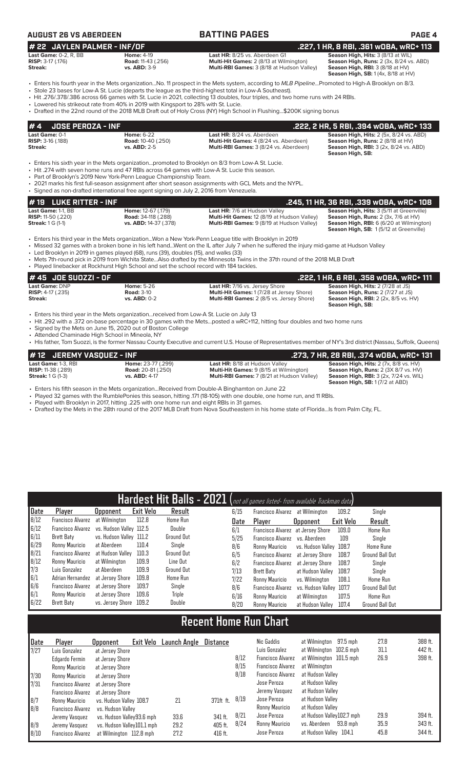## **AUGUST 26 VS ABERDEEN BATTING PAGES PAGE 4**

### **# 22 JAYLEN PALMER - INF/OF .227, 1 HR, 8 RBI, .361 wOBA, wRC+ 113 Last Game:** 0-2, R, BB **Home: 4-19 Home: 4-19 Last HR:** 8/25 vs. Aberdeen G1 **RISP:** 3-17 (.176) **Road:** 11-43 (.256) **Multi-Hit Games:** 2 (8/13 at Wilmington) **Cast Game: 0-2, R, BB**<br> **RISP: 3-17 (.176) Road: 11-43 (.256) Road: 11-43 (.256) Multi-Hit Games: 2 (8/13 at Wilmington) Season High, Runs: 2 (3x, 8/24 vs. ABD)**<br> **RISP: 3-17 (.176) Road: 11-43 (.256) Multi-RB Multi-RBI Games:** 3 (8/18 at Hudson Valley)

**Season High, RBI:** 3 (8/18 at HV)<br>**Season High, SB:** 1 (4x, 8/18 at HV)

- Enters his fourth year in the Mets organization...No. 11 prospect in the Mets system, according to *MLB Pipeline*...Promoted to High-A Brooklyn on 8/3. • Stole 23 bases for Low-A St. Lucie (departs the league as the third-highest total in Low-A Southeast).
- Hit .276/.378/.386 across 66 games with St. Lucie in 2021, collecting 13 doubles, four triples, and two home runs with 24 RBIs.
- Lowered his strikeout rate from 40% in 2019 with Kingsport to 28% with St. Lucie.
- Drafted in the 22nd round of the 2018 MLB Draft out of Holy Cross (NY) High School in Flushing...\$200K signing bonus

| <b>JOSE PEROZA - INF</b><br>#4                                              |                                                                                                                                                                                                                                                                |                                                                                                                                                                                                                                                                                                                                                                               | .222, 2 HR, 5 RBI, .394 wOBA, wRC+ 133                                                                                                                                  |
|-----------------------------------------------------------------------------|----------------------------------------------------------------------------------------------------------------------------------------------------------------------------------------------------------------------------------------------------------------|-------------------------------------------------------------------------------------------------------------------------------------------------------------------------------------------------------------------------------------------------------------------------------------------------------------------------------------------------------------------------------|-------------------------------------------------------------------------------------------------------------------------------------------------------------------------|
| Last Game: 0-1<br><b>RISP:</b> 3-16 (.188)<br>Streak:                       | <b>Home: 6-22</b><br><b>Road: 10-40 (.250)</b><br><b>vs. ABD: 2-5</b>                                                                                                                                                                                          | Last HR: 8/24 vs. Aberdeen<br>Multi-Hit Games: 4 (8/24 vs. Aberdeen)<br>Multi-RBI Games: 3 (8/24 vs. Aberdeen)                                                                                                                                                                                                                                                                | Season High, Hits: 2 (5x, 8/24 vs. ABD)<br>Season High, Runs: 2 (8/18 at HV)<br><b>Season High, RBI: 3 (2x, 8/24 vs. ABD)</b><br>Season High, SB:                       |
|                                                                             | • Hit .274 with seven home runs and 47 RBIs across 64 games with Low-A St. Lucie this season.<br>• Part of Brooklyn's 2019 New York-Penn League Championship Team.<br>• Signed as non-drafted international free agent signing on July 2, 2016 from Venezuela. | • Enters his sixth year in the Mets organizationpromoted to Brooklyn on 8/3 from Low-A St. Lucie.<br>• 2021 marks his first full-season assignment after short season assignments with GCL Mets and the NYPL.                                                                                                                                                                 |                                                                                                                                                                         |
| $#$ 19 LUKE RITTER - INF                                                    |                                                                                                                                                                                                                                                                |                                                                                                                                                                                                                                                                                                                                                                               | .245, 11 HR, 36 RBI, .339 wOBA, wRC+ 108                                                                                                                                |
| Last Game: 1-1. BB<br><b>RISP:</b> 11-50 (.220)<br><b>Streak:</b> 1 G (1-1) | Home: 12-67 (.179)<br><b>Road: 34-118 (.288)</b><br>vs. ABD: 14-37 (.378)                                                                                                                                                                                      | Last HR: 7/6 at Hudson Valley<br>Multi-Hit Games: 12 (8/19 at Hudson Valley)<br>Multi-RBI Games: 9 (8/19 at Hudson Valley)                                                                                                                                                                                                                                                    | Season High, Hits: 3 (5/11 at Greenville)<br>Season High, Runs: 2 (3x, 7/6 at HV)<br>Season High, RBI: 6 (6/20 at Wilmington)<br>Season High, SB: 1(5/12 at Greenville) |
|                                                                             | • Led Brooklyn in 2019 in games played (68), runs (39), doubles (15), and walks (33)<br>• Played linebacker at Rockhurst High School and set the school record with 184 tackles.                                                                               | Enters his third year in the Mets organizationWon a New York-Penn League title with Brooklyn in 2019<br>• Missed 32 games with a broken bone in his left handWent on the IL after July 7 when he suffered the injury mid-game at Hudson Valley<br>• Mets 7th-round pick in 2019 from Wichita StateAlso drafted by the Minnesota Twins in the 37th round of the 2018 MLB Draft |                                                                                                                                                                         |
| #45 JOE SUOZZI - OF                                                         |                                                                                                                                                                                                                                                                |                                                                                                                                                                                                                                                                                                                                                                               | .222, 1 HR, 6 RBI, .358 wOBA, wRC+ 111                                                                                                                                  |
| Last Game: DNP<br><b>RISP: 4-17 (.235)</b><br>Streak:                       | <b>Home: 5-26</b><br><b>Road: 3-10</b><br><b>vs. ABD: 0-2</b>                                                                                                                                                                                                  | Last HR: 7/16 vs. Jersey Shore<br>Multi-Hit Games: 1 (7/28 at Jersey Shore)<br>Multi-RBI Games: 2 (8/5 vs. Jersey Shore)                                                                                                                                                                                                                                                      | Season High, Hits: 2 (7/28 at JS)<br>Season High, Runs: 2 (7/27 at JS)<br><b>Season High, RBI:</b> 2 (2x, 8/5 vs. HV)<br>Season High, SB:                               |
|                                                                             | • Enters his third year in the Mets organizationreceived from Low-A St. Lucie on July 13<br>• Signed by the Mets on June 15, 2020 out of Boston College                                                                                                        | • Hit .292 with a .372 on-base percentage in 30 games with the Metsposted a wRC+112, hitting four doubles and two home runs                                                                                                                                                                                                                                                   |                                                                                                                                                                         |

• Attended Chaminade High School in Mineola, NY

• His father, Tom Suozzi, is the former Nassau County Executive and current U.S. House of Representatives member of NY's 3rd district (Nassau, Suffolk, Queens)

| #12 JEREMY VASQUEZ - INF  |                           |                                                   | . 273, 7 HR, 28 RBI, .374 wOBA, wRC+ 131'     |
|---------------------------|---------------------------|---------------------------------------------------|-----------------------------------------------|
| Last Game: 1-3, RBI       | <b>Home: 23-77 (.299)</b> | <b>Last HR: 8/18 at Hudson Valley</b>             | Season High, Hits: 2 (7x, 8/8 vs. HV)         |
| <b>RISP:</b> 11-38 (.289) | <b>Road:</b> 20-81(.250)  | <b>Multi-Hit Games: 9 (8/15 at Wilmington)</b>    | <b>Season High, Runs: 2 (3X 8/7 vs. HV)</b>   |
| <b>Streak: 1 G (1-3)</b>  | <b>vs. ABD: 4-17</b>      | <b>Multi-RBI Games: 7 (8/21 at Hudson Valley)</b> | <b>Season High, RBI: 3 (2x, 7/24 vs. WIL)</b> |
|                           |                           |                                                   | <b>Season High, SB: 1 (7/2 at ABD)</b>        |

- Enters his fifth season in the Mets organization...Received from Double-A Binghamton on June 22
- Played 32 games with the RumblePonies this season, hitting .171 (18-105) with one double, one home run, and 11 RBIs.<br>• Played with Brooklyn in 2017, hitting .225 with one home run and eight RBIs in 31 games.
- Played with Brooklyn in 2017, hitting .225 with one home run and eight RBIs in 31 games.
- Drafted by the Mets in the 28th round of the 2017 MLB Draft from Nova Southeastern in his home state of Florida...Is from Palm City, FL.

|      |                                           |                         |                  | Hardest Hit Balls - 2021 (not all games listed- from available Trackman data) |      |                                   |                         |           |                        |
|------|-------------------------------------------|-------------------------|------------------|-------------------------------------------------------------------------------|------|-----------------------------------|-------------------------|-----------|------------------------|
| Date | Player                                    | <b>Upponent</b>         | <b>Exit Velo</b> | Result                                                                        | 6/15 | Francisco Alvarez at Wilmington   |                         | 109.2     | Single                 |
| 8/12 | Francisco Alvarez                         | at Wilmington           | 112.8            | <b>Home Run</b>                                                               | Date | Plaver                            | <b>Opponent</b>         | Exit Velo | Result                 |
| 6/12 | Francisco Alvarez vs. Hudson Valley 112.5 |                         |                  | Double                                                                        | 6/1  | Francisco Alvarez at Jersey Shore |                         | 109.0     | <b>Home Run</b>        |
| 6/11 | Brett Baty                                | vs. Hudson Valley 111.2 |                  | Ground Out                                                                    | 5/25 | Francisco Alvarez vs. Aberdeen    |                         | 109       | Single                 |
| 6/29 | Ronny Mauricio                            | at Aberdeen             | 110.4            | Single                                                                        | 8/6  | Ronny Mauricio                    | vs. Hudson Valley 108.7 |           | <b>Home Rune</b>       |
| 8/21 | Francisco Alvarez                         | at Hudson Vallev        | 110.3            | Ground Out                                                                    | 6/5  | <b>Francisco Alvarez</b>          | at Jersev Shore         | 108.7     | <b>Ground Ball Out</b> |
| 8/12 | Ronny Mauricio                            | at Wilmington           | 109.9            | Line Out                                                                      | 6/2  | <b>Francisco Alvarez</b>          | at Jersev Shore         | 108.7     | Single                 |
| 7/3  | Luis Gonzalez                             | at Aberdeen             | 109.9            | Ground Out                                                                    | 7/13 | Brett Baty                        | at Hudson Valley        | 108.7     | Single                 |
| 6/1  | Adrian Hernandez                          | at Jersev Shore         | 109.8            | <b>Home Run</b>                                                               | 7/22 | Ronny Mauricio                    | vs. Wilminaton          | 108.1     | <b>Home Run</b>        |
| 6/6  | Francisco Alvarez                         | at Jersev Shore         | 109.7            | Single                                                                        | 8/6  | <b>Francisco Alvarez</b>          | vs. Hudson Valley 107.7 |           | <b>Ground Ball Out</b> |
| 6/1  | Ronny Mauricio                            | at Jersev Shore         | 109.6            | Triple                                                                        | 6/16 | Ronny Mauricio                    | at Wilmington           | 107.5     | Home Run               |
| 6/22 | Brett Baty                                | vs. Jersev Shore        | 109.2            | Double                                                                        | 8/20 | Ronny Mauricio                    | at Hudson Valley        | 107.4     | <b>Ground Ball Out</b> |

# **Recent Home Run Chart**

| Date | Player                            | <b>Opponent</b>            | Exit Velo | Launch Angle | Distance    |      | Nic Gaddis               | at Wilmington             | 97.5 mph | 27.8 | 388 ft. |
|------|-----------------------------------|----------------------------|-----------|--------------|-------------|------|--------------------------|---------------------------|----------|------|---------|
| 7/27 | Luis Gonzalez                     | at Jersey Shore            |           |              |             |      | Luis Gonzalez            | at Wilmington 102.6 mph   |          | 31.1 | 442 ft. |
|      | Edgardo Fermin                    | at Jersey Shore            |           |              |             | 8/12 | <b>Francisco Alvarez</b> | at Wilmington 101.5 mph   |          | 26.9 | 398 ft. |
|      | Ronny Mauricio                    | at Jersev Shore            |           |              |             | 8/15 | <b>Francisco Alvarez</b> | at Wilmington             |          |      |         |
| 7/30 | Ronny Mauricio                    | at Jersey Shore            |           |              |             | 8/18 | <b>Francisco Alvarez</b> | at Hudson Valley          |          |      |         |
| 7/31 | Francisco Alvarez                 | at Jersey Shore            |           |              |             |      | Jose Peroza              | at Hudson Vallev          |          |      |         |
|      | Francisco Alvarez at Jersey Shore |                            |           |              |             |      | Jeremy Vasquez           | at Hudson Valley          |          |      |         |
| 8/7  | Ronny Mauricio                    | vs. Hudson Valley 108.7    |           | 21           | $371ft$ ft. | 8/19 | Jose Peroza              | at Hudson Valley          |          |      |         |
| 8/8  | Francisco Alvarez                 | vs. Hudson Vallev          |           |              |             |      | Ronny Mauricio           | at Hudson Valley          |          |      |         |
|      | Jeremy Vasquez                    | vs. Hudson Valley93.6 mph  |           | 33.6         | 341 ft.     | 8/21 | Jose Peroza              | at Hudson Valley102.7 mph |          | 29.9 | 394 ft. |
| 8/9  | Jeremy Vasquez                    | vs. Hudson Valley101.1 mph |           | 29.2         | 405 ft.     | 8/24 | Ronny Mauricio           | vs. Aberdeen              | 93.8 mph | 35.9 | 343 ft. |
| 8/10 | Francisco Alvarez                 | at Wilmington 112.8 mph    |           | 27.2         | $416$ ft.   |      | Jose Peroza              | at Hudson Valley 104.1    |          | 45.8 | 344 ft. |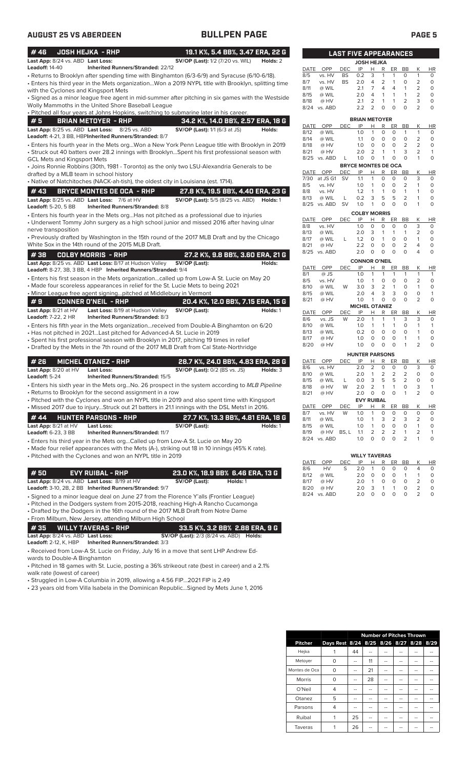| #46                                                                      | <b>JOSH HEJKA - RHP</b>                                                                                                   | 19.1 K%, 5.4 BB%, 3.47 ERA, 22 G                                                                                                                                                                                                                              |          |
|--------------------------------------------------------------------------|---------------------------------------------------------------------------------------------------------------------------|---------------------------------------------------------------------------------------------------------------------------------------------------------------------------------------------------------------------------------------------------------------|----------|
| Last App: 8/24 vs. ABD Last Loss:<br>Leadoff: 14-40                      | <b>Inherited Runners/Stranded: 22/12</b>                                                                                  | <b>SV/OP (Last):</b> 1/2 (7/20 vs. WIL)                                                                                                                                                                                                                       | Holds: 2 |
|                                                                          |                                                                                                                           | · Returns to Brooklyn after spending time with Binghamton (6/3-6/9) and Syracuse (6/10-6/18).<br>Enters his third year in the Mets organizationWon a 2019 NYPL title with Brooklyn, splitting time                                                            |          |
| with the Cyclones and Kingsport Mets                                     | Wolly Mammoths in the United Shore Baseball League                                                                        | Signed as a minor league free agent in mid-summer after pitching in six games with the Westside •                                                                                                                                                             |          |
|                                                                          |                                                                                                                           | • Pitched all four years at Johns Hopkins, switching to submarine later in his career.                                                                                                                                                                        |          |
| #5                                                                       | <b>BRIAN METOYER - RHP</b>                                                                                                | 34.2 K%, 14.0 BB%, 2.57 ERA, 18 G                                                                                                                                                                                                                             |          |
|                                                                          | Last App: 8/25 vs. ABD Last Loss: 8/25 vs. ABD<br>Leadoff: 4-21, 3 BB, HBPInherited Runners/Stranded: 8/7                 | <b>SV/OP (Last):</b> 1/1 (6/3 at JS)                                                                                                                                                                                                                          | Holds:   |
| GCL Mets and Kingsport Mets                                              |                                                                                                                           | Enters his fourth year in the Mets orgWon a New York Penn League title with Brooklyn in 2019<br>Struck out 40 batters over 28.2 innings with BrooklynSpent his first professional season with •                                                               |          |
| drafted by a MLB team in school history                                  |                                                                                                                           | • Joins Ronnie Robbins (30th, 1981 - Toronto) as the only two LSU-Alexandria Generals to be                                                                                                                                                                   |          |
|                                                                          |                                                                                                                           | • Native of Natchitoches (NACK-ah-tish), the oldest city in Louisiana (est. 1714).                                                                                                                                                                            |          |
| # 43<br>Leadoff: 5-20, 5 BB                                              | <b>BRYCE MONTES DE OCA - RHP</b><br>Last App: 8/25 vs. ABD Last Loss: 7/6 at HV<br><b>Inherited Runners/Stranded: 8/8</b> | 27.8 K%, 19.5 BB%, 4.40 ERA, 23 G<br><b>SV/OP (Last):</b> 5/5 (8/25 vs. ABD) <b>Holds:</b> 1                                                                                                                                                                  |          |
|                                                                          |                                                                                                                           | • Enters his fourth year in the Mets orgHas not pitched as a professional due to injuries<br>• Underwent Tommy John surgery as a high school junior and missed 2016 after having ulnar                                                                        |          |
| nerve transposition                                                      | White Sox in the 14th round of the 2015 MLB Draft.                                                                        | • Previously drafted by Washington in the 15th round of the 2017 MLB Draft and by the Chicago                                                                                                                                                                 |          |
| #38                                                                      | <b>COLBY MORRIS - RHP</b><br>Last App: 8/25 vs. ABD Last Loss: 8/17 at Hudson Valley                                      | 27.2 K%, 9.8 BB%, 3.60 ERA, 21 G<br>SV/OP (Last):                                                                                                                                                                                                             | Holds:   |
|                                                                          | Leadoff: 8-27, 3B, 3 BB, 4 HBP Inherited Runners/Stranded: 9/4                                                            | • Enters his first season in the Mets organizationcalled up from Low-A St. Lucie on May 20<br>• Made four scoreless appearances in relief for the St. Lucie Mets to being 2021                                                                                |          |
|                                                                          | • Minor League free agent signingpitched at Middlebury in Vermont                                                         |                                                                                                                                                                                                                                                               |          |
| #9<br>Last App: 8/21 at HV                                               | <b>CONNER O'NEIL - RHP</b><br>Last Loss: 8/19 at Hudson Valley                                                            | 20.4 K%, 12.0 BB%, 7.15 ERA, 15 G<br>SV/OP (Last):                                                                                                                                                                                                            | Holds: 1 |
| Leadoff: 7-22, 2 HR                                                      | Inherited Runners/Stranded: 8/3                                                                                           |                                                                                                                                                                                                                                                               |          |
|                                                                          | • Has not pitched in 2021Last pitched for Advanced-A St. Lucie in 2019                                                    | • Enters his fifth year in the Mets organizationreceived from Double-A Binghamton on 6/20                                                                                                                                                                     |          |
|                                                                          |                                                                                                                           | • Spent his first professional season with Brooklyn in 2017, pitching 19 times in relief<br>• Drafted by the Mets in the 7th round of the 2017 MLB Draft from Cal State-Northridge                                                                            |          |
| # 26                                                                     | <b>MICHEL OTANEZ - RHP</b>                                                                                                | 28.7 K%, 24.0 BB%, 4.83 ERA, 28 G                                                                                                                                                                                                                             |          |
| Last App: 8/20 at HV<br>Leadoff: 5-24                                    | Last Loss:<br><b>Inherited Runners/Stranded: 15/5</b>                                                                     | <b>SV/OP (Last):</b> 0/2 (BS vs. JS)                                                                                                                                                                                                                          | Holds: 3 |
|                                                                          | • Returns to Brooklyn for the second assignment in a row                                                                  | • Enters his sixth year in the Mets orgNo. 26 prospect in the system according to MLB Pipeline                                                                                                                                                                |          |
|                                                                          |                                                                                                                           | • Pitched with the Cyclones and won an NYPL title in 2019 and also spent time with Kingsport                                                                                                                                                                  |          |
|                                                                          |                                                                                                                           | • Missed 2017 due to injuryStruck out 21 batters in 21.1 innings with the DSL Mets1 in 2016.                                                                                                                                                                  |          |
| #44<br>Last App: 8/21 at HV<br>Leadoff: 6-23, 3 BB                       | <b>HUNTER PARSONS - RHP</b><br>Last Loss:<br><b>Inherited Runners/Stranded: 11/7</b>                                      | 27.7 K%, 13.3 BB%, 4.81 ERA, 18 G<br>SV/OP (Last):                                                                                                                                                                                                            | Holds: 1 |
|                                                                          | • Pitched with the Cyclones and won an NYPL title in 2019                                                                 | • Enters his third year in the Mets orgCalled up from Low-A St. Lucie on May 20<br>• Made four relief appearances with the Mets (A-), striking out 18 in 10 innings (45% K rate).                                                                             |          |
| # 50                                                                     | <b>EVY RUIBAL - RHP</b>                                                                                                   | 23.0 K%, 18.9 BB% 6.46 ERA, 13 G                                                                                                                                                                                                                              |          |
|                                                                          | Last App: 8/24 vs. ABD Last Loss: 8/19 at HV<br>Leadoff: 3-10, 2B, 2 BB Inherited Runners/Stranded: 9/7                   | SV/OP (Last):<br>Holds: 1                                                                                                                                                                                                                                     |          |
|                                                                          |                                                                                                                           | • Signed to a minor league deal on June 27 from the Florence Y'alls (Frontier League)<br>• Pitched in the Dodgers system from 2015-2018, reaching High-A Rancho Cucamonga<br>• Drafted by the Dodgers in the 16th round of the 2017 MLB Draft from Notre Dame |          |
|                                                                          | • From Milburn, New Jersey, attending Milburn High School                                                                 |                                                                                                                                                                                                                                                               |          |
| #35<br>Last App: 8/24 vs. ABD Last Loss:<br><b>Leadoff:</b> 2-12, K, HBP | <b>WILLY TAVERAS - RHP</b><br>Inherited Runners/Stranded: 3/3                                                             | 33.5 K%, 3.2 BB% 2.88 ERA, 9 G<br><b>SV/OP (Last):</b> 2/3 (8/24 vs. ABD) <b>Holds:</b>                                                                                                                                                                       |          |
|                                                                          | $\sim$ AC <sup>+</sup> Lugis on Eriday, July 16 in                                                                        | mous that sont LUD Androw Es                                                                                                                                                                                                                                  |          |

• Received from Low-A St. Lucie on Friday, July 16 in a move that sent LHP Andrew Edwards to Double-A Binghamton

• Pitched in 18 games with St. Lucie, posting a 36% strikeout rate (best in career) and a 2.1% walk rate (lowest of career)

• Struggled in Low-A Columbia in 2019, allowing a 4.56 FIP...2021 FIP is 2.49

• 23 years old from Villa Isabela in the Dominican Republic...Signed by Mets June 1, 2016

|              |                 | AST        | <b>FIVE APPEARANCES</b>     |                     |                |                |                     |                     |           |
|--------------|-----------------|------------|-----------------------------|---------------------|----------------|----------------|---------------------|---------------------|-----------|
|              |                 |            | <b>JOSH HEJKA</b>           |                     |                |                |                     |                     |           |
| DATE         | OPP             | <b>DEC</b> | IP                          | н                   | R              | ER             | <b>BB</b>           | Κ                   | HR        |
| 8/5          | vs. HV          | BS         | 0.2                         | 3                   | 1              | 1              | 0                   | 1                   | 0         |
| 8/7          | vs. HV          | <b>BS</b>  | 2.0                         | 4                   | $\overline{2}$ | 1              | 0                   | $\overline{2}$      | 0         |
| 8/11         | @ WIL           |            | 2.1                         | 7                   | 4              | 4              | 1                   | 2                   | 0         |
| 8/15         | @ WIL           |            | 2.0                         | 4                   | 1              | 1              | 1                   | 2                   | 0         |
| 8/18         | @ HV            |            | 2.1                         | 2<br>2              | 1<br>0         | 1<br>0         | 2<br>0              | 3<br>$\overline{2}$ | 0<br>0    |
| 8/24         | vs. ABD         |            | 2.2                         |                     |                |                |                     |                     |           |
|              |                 |            | <b>BRIAN METOYER</b>        |                     |                |                |                     |                     |           |
| DATE         | <b>OPP</b>      | DEC        | IP                          | Н                   | R              | ER             | BB                  | Κ                   | ΗR        |
| 8/12         | @ WIL           |            | 1.0                         | 1                   | 0              | 0              | 1                   | 1                   | 0         |
| 8/14         | @ WIL           |            | 1.1                         | 0                   | 0              | 0              | 0                   | 2                   | 0         |
| 8/18<br>8/21 | @ HV<br>@ HV    |            | 1.0<br>2.0                  | O<br>2              | 0<br>1         | 0<br>1         | $\overline{2}$<br>3 | 2<br>2              | 0<br>1    |
| 8/25         | vs. ABD         | L          | 1.0                         | 0                   | 1              | 0              | 0                   | 1                   | 0         |
|              |                 |            | <b>BRYCE MONTES DE OCA</b>  |                     |                |                |                     |                     |           |
| DATE         | OPP             | DEC        | IP                          | н                   | R              | ER             | <b>BB</b>           | Κ                   | HR        |
| 7/30         | at JS G1        | SV         | 1.1                         | 1                   | 0              | 0              | 0                   | 3                   | 0         |
| 8/5          | vs. HV          |            | 1.0                         | 1                   | 0              | 0              | 2                   | 1                   | 0         |
| 8/8          | vs. HV          |            | 1.2                         | 1                   | 1              | 0              | 1                   | 1                   | 0         |
| 8/13         | @ WIL           | L          | 0.2                         | 3                   | 5              | 5              | 2                   | 1                   | 0         |
| 8/25         | vs. ABD         | SV         | 1.0                         | 1                   | 0              | 0              | 0                   | 1                   | 0         |
|              |                 |            | <b>COLBY MORRIS</b>         |                     |                |                |                     |                     |           |
| DATE         | OPP             | DEC        | IP                          | Н                   | R              | ER             | BB                  | Κ                   | ΗR        |
| 8/8          | vs. HV          |            | 1.0                         | $\mathbf 0$         | 0              | 0              | 0                   | 3                   | 0         |
| 8/13         | @ WIL           |            | 2.0                         | 3                   | 1              | 1              | 1                   | 2                   | 0         |
| 8/17         | @ WIL           | L          | 1.2                         | 0                   | 1<br>0         | 0              | 0                   | 1<br>4              | 0         |
| 8/21<br>8/25 | @ HV<br>vs. ABD |            | 2.2<br>2.0                  | 0<br>0              | 0              | 0<br>0         | 2<br>0              | 4                   | 0<br>0    |
|              |                 |            |                             |                     |                |                |                     |                     |           |
|              | OPP             | DEC        | <b>CONNOR O'NEIL</b><br>IP  | Η                   | R              |                |                     |                     |           |
| DATE<br>8/1  | @ JS            |            | 1.0                         | 1                   | 1              | ER<br>1        | BB<br>1             | Κ<br>1              | ΗR<br>1   |
| 8/5          | vs. HV          |            | 1.0                         | 1                   | 0              | 0              | 0                   | 2                   | 0         |
| 8/10         | @ WIL           | W          | 3.0                         | 3                   | $\overline{2}$ | 1              | 0                   | 1                   | 0         |
| 8/15         | @ WIL           |            | 2.0                         | 4                   | 3              | 3              | 0                   | 0                   | 1         |
| 8/21         | @ HV            |            | 1.0                         | 1                   | 0              | 0              | 0                   | 2                   | 0         |
|              |                 |            | <b>MICHEL</b>               |                     | <b>OTANEZ</b>  |                |                     |                     |           |
| DATE         | OPP             | DEC        | IP                          | Н                   | R              | ER             | BB                  | Κ                   | ΗR        |
| 8/6          | vs. JS          | W          | 2.0                         | 1                   | 1              | 1              | 3                   | 3                   | 0         |
| 8/10         | @ WIL           |            | 1.0                         | 1<br>0              | 1<br>0         | 1<br>0         | 0<br>0              | 1<br>1              | 1<br>0    |
| 8/13<br>8/17 | @ WIL<br>@ HV   |            | 0.2<br>1.0                  | 0                   | 0              | 0              | 1                   | 1                   | 0         |
| 8/20         | @ HV            |            | 1.0                         | 0                   | 0              | 0              | 1                   | $\overline{2}$      | 0         |
|              |                 |            |                             |                     |                |                |                     |                     |           |
|              | OPP             |            | <b>HUNTER PARSONS</b><br>IP |                     |                |                |                     |                     | HR        |
| DATE<br>8/6  | vs. HV          | DEC        | 2.0                         | н<br>$\overline{2}$ | R<br>0         | ER<br>0        | BB<br>0             | Κ<br>3              | 0         |
| 8/10         | @ WIL           |            | 2.0                         | 1                   | $\overline{2}$ | $\overline{2}$ | 2                   | 0                   | 0         |
| 8/15         | @ WIL           | L          | 0.0                         | 3                   | 5              | 5              | 2                   | 0                   | 0         |
| 8/18         | @ HV            | W          | 2.0                         | $\overline{2}$      | 1              | 1              | O                   | 3                   | 1         |
| 8/21         | ⊘ HV            |            | 2.0 0                       |                     | 0              | O              | -1                  | 2                   | $\cup$    |
|              |                 |            | <b>EVY RUIBAL</b>           |                     |                |                |                     |                     |           |
|              | DATE OPP        | DEC        | IP                          | н                   | R              | ER             | BB                  | Κ                   | <b>HR</b> |
| 8/7          | vs. HV          | <b>W</b>   | 1.0                         | 1                   | 0              | 0              | 0                   | 0                   | 0         |
| 8/11         | @ WIL           |            | 1.0                         | 1                   | 3              | 2              | 3                   | 2                   | 0         |
| 8/15         | @ WIL           |            | 1.0                         | 1                   | 0              | 0              | 0                   | 1                   | 0         |
| 8/19         | @ HV            | BS, L      | 1.1                         | 2                   | 2              | 2              | 1                   | 2                   | 1         |
| 8/24         | vs. ABD         |            | 1.0                         | 0                   | 0              | 0              | 2                   | 1                   | 0         |
|              |                 |            | <b>WILLY TAVERAS</b>        |                     |                |                |                     |                     |           |

|      |              |      | <b>WILLY TAVERAS</b> |                |          |            |                |               |              |
|------|--------------|------|----------------------|----------------|----------|------------|----------------|---------------|--------------|
|      | DATE OPP     | DEC. | IP -                 |                |          | H R ER BB  |                | K             | <b>HR</b>    |
| 8/6  | <b>HV</b>    | - S  | 2.0                  | $\overline{1}$ |          | $0\quad 0$ | $\Omega$       | 4             | $\Omega$     |
| 8/12 | @ WIL        |      | 2.0                  | O              | $\Omega$ | O          | $\overline{1}$ | -1            | O            |
| 8/17 | @ HV         |      | 2.0                  | 1              | $\Omega$ | 0          | $\Omega$       |               | O            |
| 8/20 | @ HV         |      | 2.0                  | 3              | 1        | -1         | $\Omega$       | $\mathcal{L}$ | O            |
|      | 8/24 vs. ABD |      | 2.0                  |                | 0        | O          | $\Omega$       | $\mathcal{L}$ | <sup>n</sup> |

|                |                                         |    |    | <b>Number of Pitches Thrown</b> |                       |    |    |
|----------------|-----------------------------------------|----|----|---------------------------------|-----------------------|----|----|
| <b>Pitcher</b> | Days Rest 8/24 8/25 8/26 8/27 8/28 8/29 |    |    |                                 |                       |    |    |
| Hejka          |                                         | 44 |    |                                 |                       |    |    |
| Metoyer        | 0                                       |    | 11 |                                 |                       |    |    |
| Montes de Oca  | O                                       |    | 21 |                                 |                       |    |    |
| <b>Morris</b>  | 0                                       |    | 28 |                                 |                       |    |    |
| O'Neil         | 4                                       | -- |    |                                 |                       |    |    |
| Otanez         | 5                                       |    |    |                                 |                       |    |    |
| Parsons        | 4                                       |    | -- | --                              |                       | -- | -- |
| Ruibal         |                                         | 25 |    |                                 | <b>STATE OF GROOM</b> |    |    |
| Taveras        |                                         | 26 |    |                                 |                       |    |    |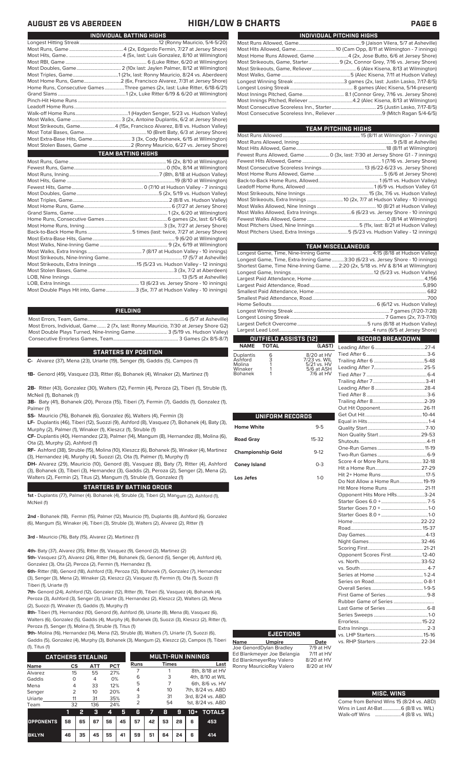## **AUGUST 26 VS ABERDEEN HIGH/LOW & CHARTS PAGE 6**

| INDIVIDUAL PITCHING HIGHS                                                 |
|---------------------------------------------------------------------------|
|                                                                           |
|                                                                           |
| Most Home Runs Allowed, Game 4 (2x, Jose Butto, 6/6 at Jersey Shore)      |
| Most Strikeouts, Game, Starter 9 (2x, Connor Grey, 7/16 vs. Jersey Shore) |
|                                                                           |
|                                                                           |
|                                                                           |
|                                                                           |
|                                                                           |
|                                                                           |
|                                                                           |
|                                                                           |
|                                                                           |

**TEAM PITCHING HIGHS**

| I LAM PHUNING NIGHS |                                                                                       |
|---------------------|---------------------------------------------------------------------------------------|
|                     |                                                                                       |
|                     |                                                                                       |
|                     | Most Hits Allowed, Game……………………………………………………………………………18 (8/11 at Wilmington)           |
|                     | Fewest Runs Allowed, Game 0 (3x, last: 7/30 at Jersey Shore G1 - 7 innings)           |
|                     |                                                                                       |
|                     |                                                                                       |
|                     |                                                                                       |
|                     |                                                                                       |
|                     |                                                                                       |
|                     | Most Strikeouts, Nine Innings …………………………………………………………………15 (3x, 7/6 vs. Hudson Valley) |
|                     |                                                                                       |
|                     |                                                                                       |
|                     |                                                                                       |
|                     |                                                                                       |
|                     | Most Pitchers Used, Nine Innings……………………………………5 (11x, last: 8/21 at Hudson Valley)    |
|                     | Most Pitchers Used, Extra Innings 5 (5/23 vs. Hudson Valley - 12 innings)             |

|                                                                                    | <b>TEAM MISCELLANEOUS</b>                                          |
|------------------------------------------------------------------------------------|--------------------------------------------------------------------|
| Longest Game, Time, Nine-Inning Game 4:15 (8/18 at Hudson Valley)                  |                                                                    |
| Longest Game, Time, Extra-Inning Game3:30 (6/23 vs. Jersey Shore - 10 innings)     |                                                                    |
| Shortest Game, Time Nine-Inning Game.  2:20 (2x, 5/18 vs. HV & 8/14 at Wilmington) |                                                                    |
|                                                                                    |                                                                    |
|                                                                                    |                                                                    |
|                                                                                    |                                                                    |
|                                                                                    |                                                                    |
|                                                                                    |                                                                    |
|                                                                                    |                                                                    |
|                                                                                    |                                                                    |
|                                                                                    |                                                                    |
|                                                                                    |                                                                    |
|                                                                                    |                                                                    |
| OUTFIELD ASSISTS (12)                                                              | $\mathcal{L}^{\text{max}}_{\text{max}}$<br><b>RECORD BREAKDOWN</b> |

## **OUTFIELD ASSISTS (12) NAME TOTAL (LAST)**

| Duplantis<br>Ashford<br>Molina | 6<br>3 | 8/20 at HV<br>7/23 vs. WIL<br>5/21 vs. HV |
|--------------------------------|--------|-------------------------------------------|
| Winaker                        |        | 5/6 at ASH                                |
| <b>Bohanek</b>                 |        | 7/6 at HV                                 |

|                          |         | $\overline{a}$                                                                   |
|--------------------------|---------|----------------------------------------------------------------------------------|
| UNIFORM RECORDS          |         | )<br>የ                                                                           |
| <b>Home White</b>        | $9 - 5$ | $\overline{\mathsf{C}}$                                                          |
| <b>Road Gray</b>         | 15-32   | ていこ                                                                              |
| <b>Championship Gold</b> | $9-12$  |                                                                                  |
| <b>Coney Island</b>      | $0 - 3$ | ŀ                                                                                |
| Los Jefes                | $1-0$   | ŀ<br>D<br>ŀ<br>$\mathsf{C}$<br>$\tilde{z}$<br>ŀ<br>F<br>ľ<br>S<br>$\overline{C}$ |
|                          |         | $\frac{1}{2}$                                                                    |

**Name Umpire Date** Joe GenordDylan Bradley 7/9 at HV Ed Blankmeyer Joe Belangia 7/11 at HV Ed BlankmeyerRay Valero 8/20 at HV Ronny MauricioRay Valero 8/20 at HV

**EJECTIONS**

| Non Quality Start 29-53       |  |
|-------------------------------|--|
|                               |  |
|                               |  |
|                               |  |
| Score 4 or More Runs 32-18    |  |
|                               |  |
|                               |  |
| Do Not Allow a Home Run 19-19 |  |
| Hit More Home Runs  21-11     |  |
| Opponent Hits More HRs3-24    |  |
|                               |  |
|                               |  |
|                               |  |
|                               |  |
|                               |  |
|                               |  |
|                               |  |
|                               |  |
| Opponent Scores First 12-40   |  |
|                               |  |
|                               |  |
|                               |  |
|                               |  |
|                               |  |
|                               |  |
|                               |  |
|                               |  |
|                               |  |
|                               |  |
|                               |  |
|                               |  |
|                               |  |
|                               |  |

### **MISC. WINS**

vs. RHP Starters ....

| Come from Behind Wins 15 (8/24 vs. ABD) |  |  |
|-----------------------------------------|--|--|
| Wins in Last At-Bat 6 (8/8 vs. WIL)     |  |  |
|                                         |  |  |

| INDIVIDUAL BATTING HIGHS                                                    |
|-----------------------------------------------------------------------------|
|                                                                             |
|                                                                             |
|                                                                             |
|                                                                             |
|                                                                             |
|                                                                             |
|                                                                             |
| Home Runs, Consecutive Games Three games (2x, last: Luke Ritter, 6/18-6/21) |
|                                                                             |
|                                                                             |
|                                                                             |
|                                                                             |
|                                                                             |
| Most Strikeouts, Game4 (15x, Francisco Alvarez, 8/8 vs. Hudson Valley)      |
|                                                                             |
|                                                                             |
|                                                                             |
| <b>TEAM BATTING HIGHS</b>                                                   |
|                                                                             |
|                                                                             |
|                                                                             |
|                                                                             |
|                                                                             |
|                                                                             |
|                                                                             |
|                                                                             |
|                                                                             |
|                                                                             |
|                                                                             |
|                                                                             |
|                                                                             |
|                                                                             |
|                                                                             |
|                                                                             |
|                                                                             |
|                                                                             |
|                                                                             |
|                                                                             |
| Most Double Plays Hit into, Game3 (5x, 7/7 at Hudson Valley - 10 innings)   |

**FIELDING**

Most Errors, Team, Game...............................................................................6 (5/7 at Asheville) Most Errors, Individual, Game....... 2 (7x, last: Ronny Mauricio, 7/30 at Jersey Shore G2) Most Double Plays Turned, Nine-Inning Game.......................... 3 (5/19 vs. Hudson Valley) Consecutive Errorless Games, Team...

### **STARTERS BY POSITION**

**C-** Alvarez (37), Mena (23), Uriarte (19), Senger (9), Gaddis (5), Campos (1)

**1B-** Genord (49), Vasquez (33), Ritter (6), Bohanek (4), Winaker (2), Martinez (1)

**2B-** Ritter (43), Gonzalez (30), Walters (12), Fermin (4), Peroza (2), Tiberi (1), Struble (1), McNeil (1), Bohanek (1)

**3B-** Baty (41), Bohanek (20), Peroza (15), Tiberi (7), Fermin (7), Gaddis (1), Gonzalez (1), Palmer (1)

**SS-** Mauricio (76), Bohanek (6), Gonzalez (6), Walters (4), Fermin (3)

**LF-** Duplantis (46), Tiberi (12), Suozzi (9), Ashford (8), Vasquez (7), Bohanek (4), Baty (3), Murphy (2), Palmer (1), Winaker (1), Kleszcz (1), Struble (1)

**CF-** Duplantis (40), Hernandez (23), Palmer (14), Mangum (8), Hernandez (8), Molina (6), Ota (2), Murphy (2), Ashford (1)

**RF-** Ashford (38), Struble (15), Molina (10), Kleszcz (6), Bohanek (5), Winaker (4), Martinez (3), Hernandez (4), Murphy (4), Suozzi (2), Ota (1), Palmer (1), Murphy (1)

**DH-** Alvarez (29), Mauricio (10), Genord (8), Vasquez (8), Baty (7), Ritter (4), Ashford (3), Bohanek (3), Tiberi (3), Hernandez (3), Gaddis (2), Peroza (2), Senger (2), Mena (2), Walters (2), Fermin (2), Titus (2), Mangum (1), Struble (1), Gonzalez (1)

## **STARTERS BY BATTING ORDER**

**1st -** Duplantis (77), Palmer (4). Bohanek (4), Struble (3), Tiberi (2), Mangum (2), Ashford (1), McNeil (1)

**2nd -** Bohanek (18), Fermin (15), Palmer (12), Mauricio (11), Duplantis (8), Ashford (6), Gonzalez (6), Mangum (5), Winaker (4), Tiberi (3), Struble (3), Walters (2), Alvarez (2), Ritter (1)

**3rd -** Mauricio (76), Baty (15), Alvarez (2), Martinez (1)

**4th-** Baty (37), Alvarez (35), Ritter (9), Vasquez (9), Genord (2), Martinez (2)

**5th-** Vasquez (27), Alvarez (26), Ritter (14), Bohanek (5), Genord (5), Senger (4), Ashford (4), Gonzalez (3), Ota (2), Peroza (2), Fermin (1), Hernandez (1),

**6th-** Ritter (18), Genord (18), Ashford (13), Peroza (12), Bohanek (7), Gonzalez (7), Hernandez (3), Senger (3), Mena (2), Winaker (2), Kleszcz (2), Vasquez (1), Fermin (1), Ota (1), Suozzi (1) Tiberi (1), Uriarte (1)

**7th-** Genord (24), Ashford (12), Gonzalez (12), Ritter (9), Tiberi (5), Vasquez (4), Bohanek (4), Peroza (3), Ashford (3), Senger (3), Uriarte (3), Hernandez (2), Kleszcz (2), Walters (2), Mena (2), Suozzi (1), Winaker (1), Gaddis (1), Murphy (1)

**8th-** Tiberi (11), Hernandez (10), Genord (9), Ashford (9), Uriarte (8), Mena (8), Vasquez (6), Walters (6), Gonzalez (5), Gaddis (4), Murphy (4), Bohanek (3), Suozzi (3), Kleszcz (2), Ritter (1), Peroza (1), Senger (1), Molina (1), Struble (1), Titus (1)

**9th-** Molina (16), Hernandez (14), Mena (12), Struble (8), Walters (7), Uriarte (7), Suozzi (6), Gaddis (5), Gonzalez (4), Murphy (3), Bohanek (3), Mangum (2), Kleszcz (2), Campos (1), Tiberi

(1), Titus (1)

| <b>CATCHERS STEALING</b> |                |                                |           | <b>MULTI-RUN INNINGS</b> |    |                |    |                 |    |                   |                   |  |  |
|--------------------------|----------------|--------------------------------|-----------|--------------------------|----|----------------|----|-----------------|----|-------------------|-------------------|--|--|
| <b>Name</b>              |                | <b>ATT</b><br><b>PCT</b><br>CS |           |                          |    | Runs           |    |                 |    |                   | Last              |  |  |
| Alvarez                  | 15             |                                | 55<br>27% |                          |    |                |    |                 |    |                   | 8th, 8/18 at HV   |  |  |
| Gaddis                   | Ω              |                                | 4         | 0%                       |    | 6              |    | 3               |    | 4th, 8/10 at WIL  |                   |  |  |
| Mena                     | 4              |                                | 33        | 12%                      |    | 5              |    |                 |    | 6th, 8/6 vs. HV   |                   |  |  |
| Senger                   | $\overline{2}$ |                                | 10        | 20%                      |    | 4              |    | 10 <sup>2</sup> |    | 7th, 8/24 vs. ABD |                   |  |  |
| Uriarte                  | 11             |                                | 31        | 35%                      |    | 3              |    | 31              |    |                   | 3rd. 8/24 vs. ABD |  |  |
| Team                     | 32             |                                | 136       | 24%                      |    | $\overline{2}$ |    | 54              |    |                   | 1st. 8/24 vs. ABD |  |  |
|                          | 1              | 2                              | з         | 4                        | 5  | 6              | 7  | 8               | 9  | 10+               | <b>TOTALS</b>     |  |  |
| <b>OPPONENTS</b>         | 58             | 65                             | 67        | 56                       | 45 | 57             | 42 | 53              | 28 | 6                 | 453               |  |  |
| <b>BKLYN</b>             | 46             | 35                             | 45        | 55                       | 41 | 59             | 51 | 64              | 24 | 6                 | 414               |  |  |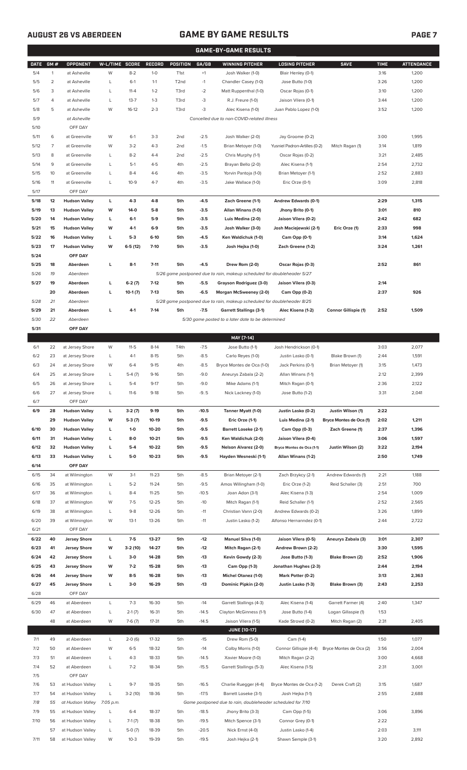## **AUGUST 26 VS ABERDEEN GAME BY GAME RESULTS**

|--|

|             |                |                            |                |                     |               |                   |         | <b>GAME-BY-GAME RESULTS</b>                                             |                                     |                         |             |                   |
|-------------|----------------|----------------------------|----------------|---------------------|---------------|-------------------|---------|-------------------------------------------------------------------------|-------------------------------------|-------------------------|-------------|-------------------|
| <b>DATE</b> | GM#            | OPPONENT                   | W-L/TIME SCORE |                     | <b>RECORD</b> | <b>POSITION</b>   | GA/GB   | <b>WINNING PITCHER</b>                                                  | <b>LOSING PITCHER</b>               | <b>SAVE</b>             | <b>TIME</b> | <b>ATTENDANCE</b> |
| 5/4         | $\mathbf{1}$   | at Asheville               | W              | $8 - 2$             | $1-0$         | T <sub>1st</sub>  | $+1$    | Josh Walker (1-0)                                                       | Blair Henley (0-1)                  |                         | 3:16        | 1,200             |
| 5/5         | $\overline{2}$ | at Asheville               | L              | $6-1$               | $1 - 1$       | T <sub>2</sub> nd | $-1$    | Chandler Casey (1-0)                                                    | Jose Butto (1-0)                    |                         | 3:26        | 1,200             |
| 5/6         | 3              | at Asheville               | L              | $11 - 4$            | $1 - 2$       | T3rd              | $-2$    | Matt Ruppenthal (1-0)                                                   | Oscar Rojas (0-1)                   |                         | 3:10        | 1,200             |
| 5/7         | 4              | at Asheville               | Г              | $13 - 7$            | $1 - 3$       | T3rd              | -3      | R.J. Freure (1-0)                                                       | Jaison Vilera (0-1)                 |                         | 3:44        | 1,200             |
| 5/8         | 5              | at Asheville               | W              | $16-12$             | $2 - 3$       | T3rd              | -3      | Alec Kisena (1-0)                                                       | Juan Pablo Lopez (1-0)              |                         | 3:52        | 1,200             |
| 5/9         |                | at Asheville               |                |                     |               |                   |         | Cancelled due to non-COVID-related illness                              |                                     |                         |             |                   |
| 5/10        |                | OFF DAY                    |                |                     |               |                   |         |                                                                         |                                     |                         |             |                   |
| 5/11        | 6              | at Greenville              | W              | $6-1$               | $3-3$         | 2 <sub>nd</sub>   | $-2.5$  | Josh Walker (2-0)                                                       | Jay Groome (0-2)                    |                         | 3:00        | 1,995             |
| 5/12        | 7              | at Greenville              | W              | $3 - 2$             | $4 - 3$       | 2 <sub>nd</sub>   | $-1.5$  | Brian Metoyer (1-0)                                                     | Yusniel Padron-Artilles (0-2)       | Mitch Ragan (1)         | 3:14        | 1,819             |
| 5/13        | 8              | at Greenville              | L              | $8 - 2$             | $4 - 4$       | 2nd               | $-2.5$  | Chris Murphy (1-1)                                                      | Oscar Rojas (0-2)                   |                         | 3:21        | 2,485             |
| 5/14        | 9              | at Greenville              | L              | $5-1$               | $4 - 5$       | 4th               | $-2.5$  | Brayan Bello (2-0)                                                      | Alec Kisena (1-1)                   |                         | 2:54        | 2,732             |
| 5/15        | 10             | at Greenville              | L              | $8 - 4$             | $4-6$         | 4th               | $-3.5$  | Yorvin Pantoja (1-0)                                                    | Brian Metoyer (1-1)                 |                         | 2:52        | 2,883             |
| 5/16        | 11             | at Greenville              | L              | $10-9$              | $4 - 7$       | 4th               | $-3.5$  | Jake Wallace (1-0)                                                      | Eric Orze (0-1)                     |                         | 3:09        | 2,818             |
| 5/17        |                | OFF DAY                    |                |                     |               |                   |         |                                                                         |                                     |                         |             |                   |
| 5/18        | 12             | <b>Hudson Valley</b>       | L              | $4-3$               | $4 - 8$       | 5th               | $-4.5$  | Zach Greene (1-1)                                                       | Andrew Edwards (0-1)                |                         | 2:29        | 1,315             |
| 5/19        | 13             | <b>Hudson Valley</b>       | W              | $14-0$              | $5-8$         | 5th               | $-3.5$  | Allan Winans (1-0)                                                      | Jhony Brito (0-1)                   |                         | 3:01        | 810               |
| 5/20        | 14             | <b>Hudson Valley</b>       | L              | $6-1$               | $5-9$         | 5th               | $-3.5$  | Luis Medina (2-0)                                                       | Jaison Vilera (0-2)                 |                         | 2:42        | 682               |
| 5/21        | 15             | <b>Hudson Valley</b>       | W              | $4-1$               | $6-9$         | 5th               | $-3.5$  | Josh Walker (3-0)                                                       | Josh Maciejewski (2-1)              | Eric Orze (1)           | 2:33        | 998               |
| 5/22        | 16             | <b>Hudson Valley</b>       | L              | $5-3$               | $6-10$        | 5th               | $-4.5$  | Ken Waldichuk (1-0)                                                     | Cam Opp (0-1)                       |                         | 3:14        | 1,624             |
| 5/23        | 17             | <b>Hudson Valley</b>       | W              | $6-5(12)$           | $7-10$        | 5th               | $-3.5$  | Josh Hejka (1-0)                                                        | Zach Greene (1-2)                   |                         | 3:24        | 1,261             |
| 5/24        |                | OFF DAY                    |                |                     |               |                   |         |                                                                         |                                     |                         |             |                   |
| 5/25        | 18             | Aberdeen                   | L              | $8-1$               | $7 - 11$      | 5th               | $-4.5$  | Drew Rom (2-0)                                                          | Oscar Rojas (0-3)                   |                         | 2:52        | 861               |
| 5/26        | 19             | Aberdeen                   |                |                     |               |                   |         | 5/26 game postponed due to rain, makeup scheduled for doubleheader 5/27 |                                     |                         |             |                   |
| 5/27        | 19             | Aberdeen                   | г              | $6-2(7)$            | $7-12$        | 5th               | $-5.5$  | Grayson Rodriguez (3-0)                                                 | Jaison Vilera (0-3)                 |                         | 2:14        |                   |
|             | 20             | Aberdeen                   | L              | $10-1(7)$           | $7-13$        | 5th               | $-6.5$  | Morgan McSweeney (2-0)                                                  | Cam Opp (0-2)                       |                         | 2:37        | 926               |
| 5/28        | 21             | Aberdeen                   |                |                     |               |                   |         | 5/28 game postponed due to rain, makeup scheduled for doubleheader 8/25 |                                     |                         |             |                   |
| 5/29        | 21             | Aberdeen                   | г              | $4-1$               | $7-14$        | 5th               | $-7.5$  | <b>Garrett Stallings (3-1)</b>                                          | Alec Kisena (1-2)                   | Connor Gillispie (1)    | 2:52        | 1,509             |
| 5/30        | 22             | Aberdeen                   |                |                     |               |                   |         | 5/30 game posted to a later date to be determined                       |                                     |                         |             |                   |
| 5/31        |                | OFF DAY                    |                |                     |               |                   |         |                                                                         |                                     |                         |             |                   |
|             |                |                            |                |                     |               |                   |         | MAY [7-14]                                                              |                                     |                         |             |                   |
| 6/1         | 22             | at Jersey Shore            | W              | $11-5$              | $8-14$        | T4th              | $-7.5$  | Jose Butto (1-1)                                                        | Josh Hendrickson (0-1)              |                         | 3:03        | 2,077             |
| 6/2         | 23             | at Jersey Shore            | L              | $4-1$               | $8 - 15$      | 5th               | $-8.5$  | Carlo Reyes (1-0)                                                       | Justin Lasko (0-1)                  | Blake Brown (1)         | 2:44        | 1,591             |
| 6/3         | 24             | at Jersey Shore            | W              | $6 - 4$             | $9-15$        | 4th               | $-8.5$  | Bryce Montes de Oca (1-0)                                               | Jack Perkins (0-1)                  | Brian Metoyer (1)       | 3:15        | 1,473             |
| 6/4         | 25             | at Jersey Shore            | L              | $5-4(7)$            | $9-16$        | 5th               | $-9.0$  | Aneurys Zabala (2-2)                                                    | Allan Winans (1-1)                  |                         | 2:12        | 2,399             |
| 6/5         | 26             | at Jersey Shore            | Г              | $5-4$               | $9-17$        | 5th               | $-9.0$  | Mike Adams (1-1)                                                        | Mitch Ragan (0-1)                   |                         | 2:36        | 2,122             |
| 6/6         | 27             | at Jersey Shore            | L              | $11-6$              | $9-18$        | 5th               | $-9.5$  | Nick Lackney (1-0)                                                      | Jose Butto (1-2)                    |                         | 3:31        | 2,041             |
| 6/7         |                | OFF DAY                    |                |                     |               |                   |         |                                                                         |                                     |                         |             |                   |
| 6/9         | 28             | <b>Hudson Valley</b>       | L              | $3-2(7)$            | $9-19$        | 5th               | $-10.5$ | Tanner Myatt (1-0)                                                      | Justin Lasko (0-2)                  | Justin Wilson (1)       | 2:22        |                   |
|             | 29             | <b>Hudson Valley</b>       | W              | $5-3(7)$            | 10-19         | 5th               | $-9.5$  | Eric Orze (1-1)                                                         | Luis Medina (2-1)                   | Bryce Montes de Oca (1) | 2:02        | 1,211             |
| 6/10        | 30             | <b>Hudson Valley</b>       | L              | $1 - 0$             | 10-20         | 5th               | $-9.5$  | <b>Barrett Loseke (2-1)</b>                                             | Cam Opp (0-3)                       | Zach Greene (1)         | 2:37        | 1,396             |
| 6/11        | 31             | <b>Hudson Valley</b>       | L              | $8-0$               | $10 - 21$     | 5th               | $-9.5$  | Ken Waldichuk (2-0)                                                     | Jaison Vilera (0-4)                 |                         | 3:06        | 1,597             |
| 6/12        | 32             | <b>Hudson Valley</b>       | г              | $5-4$               | 10-22         | 5th               | $-9.5$  | Nelson Alvarez (2-0)                                                    | Bryce Montes de Oca (1-1)           | Justin Wilson (2)       | 3:22        | 2,194             |
| 6/13        | 33             | <b>Hudson Valley</b>       | г              | $5-0$               | $10 - 23$     | 5th               | $-9.5$  | Hayden Wesneski (1-1)                                                   | Allan Winans (1-2)                  |                         | 2:50        | 1,749             |
| 6/14        |                | OFF DAY                    |                |                     |               |                   |         |                                                                         |                                     |                         |             |                   |
| 6/15        | 34             | at Wilmington              | W              | $3-1$               | $11 - 23$     | 5th               | $-8.5$  | Brian Metoyer (2-1)                                                     | Zach Brzykcy (2-1)                  | Andrew Edwards (1)      | 2:21        | 1,188             |
| 6/16        | 35             | at Wilmington              | L              | $5 - 2$             | $11 - 24$     | 5th               | $-9.5$  | Amos Willingham (1-0)                                                   | Eric Orze (1-2)                     | Reid Schaller (3)       | 2:51        | 700               |
| 6/17        | 36             | at Wilmington              | L              | $8 - 4$             | $11 - 25$     | 5th               | $-10.5$ | Joan Adon (3-1)                                                         | Alec Kisena (1-3)                   |                         | 2:54        | 1,009             |
| 6/18        | 37             | at Wilmington              | W              | $7 - 5$             | $12 - 25$     | 5th               | $-10$   | Mitch Ragan (1-1)                                                       | Reid Schaller (1-1)                 |                         | 2:52        | 2,565             |
| 6/19        | 38             | at Wilmington              | L              | $9 - 8$             | 12-26         | 5th               | $-11$   | Christian Vann (2-0)                                                    | Andrew Edwards (0-2)                |                         | 3:26        | 1,899             |
| 6/20        | 39             | at Wilmington              | W              | $13-1$              | 13-26         | 5th               | $-11$   | Justin Lasko (1-2)                                                      | Alfonso Hernanndez (0-1)            |                         | 2:44        | 2,722             |
| 6/21        |                | OFF DAY                    |                |                     |               |                   |         |                                                                         |                                     |                         |             |                   |
| 6/22        | 40             | <b>Jersey Shore</b>        | L              | $7-5$               | 13-27         | 5th               | $-12$   | Manuel Silva (1-0)                                                      | Jaison Vilera (0-5)                 | Aneurys Zabala (3)      | 3:01        | 2,307             |
| 6/23        | 41             | <b>Jersey Shore</b>        | W              | $3-2(10)$           | 14-27         | 5th               | $-12$   | Mitch Ragan (2-1)                                                       | Andrew Brown (2-2)                  |                         | 3:30        | 1,595             |
| 6/24        | 42             | <b>Jersey Shore</b>        | L              | $3-0$               | 14-28         | 5th               | $-13$   | Kevin Gowdy (2-3)                                                       | Jose Butto (1-3)                    | Blake Brown (2)         | 2:52        | 1,906             |
| 6/25        | 43             | <b>Jersey Shore</b>        | W              | $7-2$               | 15-28         | 5th               | $-13$   | Cam Opp (1-3)                                                           | Jonathan Hughes (2-3)               |                         | 2:44        | 2,194             |
| 6/26        | 44             | <b>Jersey Shore</b>        | W              | $8 - 5$             | 16-28         | 5th               | $-13$   | Michel Otanez (1-0)                                                     | Mark Potter (0-2)                   |                         | 3:13        | 2,363             |
| 6/27        | 45             | <b>Jersey Shore</b>        | г              | $3-0$               | 16-29         | 5th               | $-13$   | Dominic Pipkin (2-0)                                                    | Justin Lasko (1-3)                  | Blake Brown (3)         | 2:43        | 2,253             |
| 6/28        |                | OFF DAY                    |                |                     |               |                   |         |                                                                         |                                     |                         |             |                   |
| 6/29        | 46             | at Aberdeen                | L              | $7-3$               | 16-30         | 5th               | $-14$   | Garrett Stallings (4-3)                                                 | Alec Kisena (1-4)                   | Garrett Farmer (4)      | 2:40        | 1,347             |
| 6/30        | 47             | at Aberdeen                | L              | $2-1(7)$            | 16-31         | 5th               | $-14.5$ | Clayton McGinness (1-1)                                                 | Jose Butto (1-4)                    | Logan Gillaspie (1)     | 1:53        |                   |
|             | 48             | at Aberdeen                | W              | $7-6(7)$            | $17 - 31$     | 5th               | $-14.5$ | Jaison Vilera (1-5)                                                     |                                     |                         | 2:31        | 2,405             |
|             |                |                            |                |                     |               |                   |         | <b>JUNE [10-17]</b>                                                     | Kade Strowd (0-2)                   | Mitch Ragan (2)         |             |                   |
| 7/1         | 49             | at Aberdeen                |                |                     | 17-32         | 5th               | $-15$   | Drew Rom (5-0)                                                          |                                     |                         | 1:50        | 1,077             |
| 7/2         | 50             | at Aberdeen                | L<br>W         | $2-0(6)$<br>$6 - 5$ | 18-32         | 5th               | $-14$   | Colby Morris (1-0)                                                      | Cam (1-4)<br>Connor Gillispie (4-4) | Bryce Montes de Oca (2) | 3:56        | 2,004             |
| 7/3         | 51             | at Aberdeen                | L              | $4 - 3$             | 18-33         | 5th               | $-14.5$ | Xavier Moore (1-0)                                                      | Mitch Ragan (2-2)                   |                         | 3:00        | 4,668             |
|             | 52             |                            | L              | $7 - 2$             | 18-34         |                   | $-15.5$ | Garrett Stallings (5-3)                                                 |                                     |                         | 2:31        |                   |
| 7/4<br>7/5  |                | at Aberdeen<br>OFF DAY     |                |                     |               | 5th               |         |                                                                         | Alec Kisena (1-5)                   |                         |             | 3,001             |
| 7/6         | 53             | at Hudson Valley           | L              | $9 - 7$             | 18-35         | 5th               | $-16.5$ | Charlie Ruegger (4-4)                                                   | Bryce Montes de Oca (1-2)           | Derek Craft (2)         | 3:15        | 1,687             |
| 7/7         | 54             | at Hudson Valley           | L              | $3-2(10)$           | 18-36         | 5th               | $-17.5$ | Barrett Loseke (3-1)                                                    | Josh Hejka (1-1)                    |                         | 2:55        | 2,688             |
| 7/8         | 55             | at Hudson Valley 7:05 p.m. |                |                     |               |                   |         | Game postponed due to rain, doubleheader scheduled for 7/10             |                                     |                         |             |                   |
| 7/9         | 55             | at Hudson Valley           | L              | $6 - 4$             | 18-37         | 5th               | $-18.5$ | Jhony Brito (3-3)                                                       | Cam Opp (1-5)                       |                         | 3:06        | 3,896             |
| 7/10        | 56             | at Hudson Valley           | L              | $7-1(7)$            | 18-38         | 5th               | $-19.5$ | Mitch Spence (3-1)                                                      | Connor Grey (0-1)                   |                         | 2:22        |                   |
|             | 57             | at Hudson Valley           | L              | $5-0(7)$            | 18-39         | 5th               | $-20.5$ | Nick Ernst (4-0)                                                        | Justin Lasko (1-4)                  |                         | 2:03        | 3,111             |
| 7/11        |                | 58 at Hudson Valley        | W              | $10-3$              | 19-39         | 5th               | $-19.5$ | Josh Hejka (2-1)                                                        | Shawn Semple (3-1)                  |                         | 3:20        | 2,892             |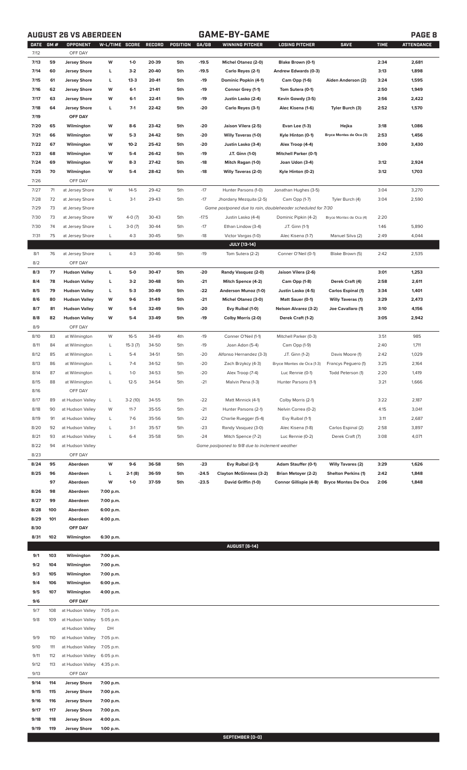## **AUGUST 26 VS ABERDEEN GAME-BY-GAME PAGE 8**

|      | DATE GM# | OPPONENT             | W-L/TIME SCORE |           | RECORD | POSITION | GA/GB   | WINNING PITCHER                                             | LOSING PITCHER               | <b>SAVE</b>                | <b>TIME</b> | <b>ATTENDANCE</b> |
|------|----------|----------------------|----------------|-----------|--------|----------|---------|-------------------------------------------------------------|------------------------------|----------------------------|-------------|-------------------|
| 7/12 |          | OFF DAY              |                |           |        |          |         |                                                             |                              |                            |             |                   |
| 7/13 | 59       | <b>Jersey Shore</b>  | W              | $1 - 0$   | 20-39  | 5th      | $-19.5$ | Michel Otanez (2-0)                                         | Blake Brown (0-1)            |                            | 2:34        | 2,681             |
| 7/14 | 60       | <b>Jersey Shore</b>  | L              | $3-2$     | 20-40  | 5th      | $-19.5$ | Carlo Reyes (2-1)                                           | Andrew Edwards (0-3)         |                            | 3:13        | 1,898             |
| 7/15 | 61       | <b>Jersey Shore</b>  | L              | $13-3$    | 20-41  | 5th      | -19     | Dominic Popkin (4-1)                                        | Cam Opp (1-6)                | Aiden Anderson (2)         | 3:24        | 1,595             |
| 7/16 | 62       | <b>Jersey Shore</b>  | W              | $6-1$     | 21-41  | 5th      | $-19$   | Connor Grey (1-1)                                           | Tom Sutera (0-1)             |                            | 2:50        | 1,949             |
| 7/17 | 63       | <b>Jersey Shore</b>  | W              | $6-1$     | 22-41  | 5th      | $-19$   | Justin Lasko (2-4)                                          | Kevin Gowdy (3-5)            |                            | 2:56        | 2,422             |
| 7/18 | 64       | <b>Jersey Shore</b>  | L              | $7-1$     | 22-42  | 5th      | $-20$   | Carlo Reyes (3-1)                                           | Alec Kisena (1-6)            | Tyler Burch (3)            | 2:52        | 1,570             |
| 7/19 |          | OFF DAY              |                |           |        |          |         |                                                             |                              |                            |             |                   |
| 7/20 | 65       | Wilmington           | W              | 8-6       | 23-42  | 5th      | -20     | Jaison Vilera (2-5)                                         | Evan Lee (1-3)               | Hejka                      | 3:18        | 1,086             |
| 7/21 | 66       | Wilmington           | W              | $5-3$     | 24-42  | 5th      | $-20$   | <b>Willy Taveras (1-0)</b>                                  |                              | Bryce Montes de Oca (3)    | 2:53        | 1,456             |
|      |          |                      |                |           |        |          |         |                                                             | Kyle Hinton (0-1)            |                            |             |                   |
| 7/22 | 67       | Wilmington           | W              | $10 - 2$  | 25-42  | 5th      | -20     | Justin Lasko (3-4)                                          | Alex Troop (4-4)             |                            | 3:00        | 3,430             |
| 7/23 | 68       | Wilmington           | W              | $5-4$     | 26-42  | 5th      | -19     | J.T. Ginn (1-0)                                             | <b>Mitchell Parker (0-1)</b> |                            |             |                   |
| 7/24 | 69       | Wilmington           | W              | $8-3$     | 27-42  | 5th      | -18     | Mitch Ragan (1-0)                                           | Joan Udon (3-4)              |                            | 3:12        | 2,924             |
| 7/25 | 70       | Wilmington           | W              | $5-4$     | 28-42  | 5th      | $-18$   | <b>Willy Taveras (2-0)</b>                                  | Kyle Hinton (0-2)            |                            | 3:12        | 1,703             |
| 7/26 |          | OFF DAY              |                |           |        |          |         |                                                             |                              |                            |             |                   |
| 7/27 | 71       | at Jersey Shore      | W              | $14 - 5$  | 29-42  | 5th      | $-17$   | Hunter Parsons (1-0)                                        | Jonathan Hughes (3-5)        |                            | 3:04        | 3,270             |
| 7/28 | 72       | at Jersey Shore      | L              | $3-1$     | 29-43  | 5th      | $-17$   | Jhordany Mezquita (2-5)                                     | Cam Opp (1-7)                | Tyler Burch (4)            | 3:04        | 2,590             |
| 7/29 | 73       | at Jersey Shore      |                |           |        |          |         | Game postponed due to rain, doubleheader scheduled for 7/30 |                              |                            |             |                   |
| 7/30 | 73       | at Jersey Shore      | W              | $4-0(7)$  | 30-43  | 5th      | $-17.5$ | Justin Lasko (4-4)                                          | Dominic Pipkin (4-2)         | Bryce Montes de Oca (4)    | 2:20        |                   |
| 7/30 | 74       | at Jersey Shore      | L              | $3-0(7)$  | 30-44  | 5th      | $-17$   | Ethan Lindow (3-4)                                          | J.T. Ginn (1-1)              |                            | 1:46        | 5,890             |
| 7/31 | 75       | at Jersey Shore      | L              | $4 - 3$   | 30-45  | 5th      | $-18$   | Victor Vargas (1-0)                                         | Alec Kisena (1-7)            | Manuel Silva (2)           | 2:49        | 4,044             |
|      |          |                      |                |           |        |          |         |                                                             |                              |                            |             |                   |
|      |          |                      |                |           |        |          |         | <b>JULY [13-14]</b>                                         |                              |                            |             |                   |
| 8/1  | 76       | at Jersey Shore      | L              | $4 - 3$   | 30-46  | 5th      | $-19$   | Tom Sutera (2-2)                                            | Conner O'Neil (0-1)          | Blake Brown (5)            | 2:42        | 2,535             |
| 8/2  |          | OFF DAY              |                |           |        |          |         |                                                             |                              |                            |             |                   |
| 8/3  | 77       | <b>Hudson Valley</b> | L              | $5-0$     | 30-47  | 5th      | -20     | Randy Vasquez (2-0)                                         | Jaison Vilera (2-6)          |                            | 3:01        | 1,253             |
| 8/4  | 78       | <b>Hudson Valley</b> | L              | $3-2$     | 30-48  | 5th      | $-21$   | Mitch Spence (4-2)                                          | Cam Opp (1-8)                | Derek Craft (4)            | 2:58        | 2,611             |
| 8/5  | 79       | <b>Hudson Valley</b> | L              | $5-3$     | 30-49  | 5th      | $-22$   | Anderson Munoz (1-0)                                        | Justin Lasko (4-5)           | Carlos Espinal (1)         | 3:34        | 1,401             |
| 8/6  | 80       | <b>Hudson Valley</b> | W              | $9-6$     | 31-49  | 5th      | $-21$   | <b>Michel Otanez (3-0)</b>                                  | Matt Sauer (0-1)             | <b>Willy Taveras (1)</b>   | 3:29        | 2,473             |
| 8/7  | 81       | <b>Hudson Valley</b> | W              | $5-4$     | 32-49  | 5th      | -20     | Evy Ruibal (1-0)                                            | <b>Nelson Alvarez (3-2)</b>  | Joe Cavallaro (1)          | 3:10        | 4,156             |
| 8/8  | 82       | <b>Hudson Valley</b> | W              | $5-4$     | 33-49  | 5th      | $-19$   | Colby Morris (2-0)                                          | Derek Craft (1-2)            |                            | 3:05        | 2,942             |
| 8/9  |          | OFF DAY              |                |           |        |          |         |                                                             |                              |                            |             |                   |
| 8/10 | 83       | at Wilmington        | W              | $16 - 5$  | 34-49  | 4th      | $-19$   | Conner O'Neil (1-1)                                         | Mitchell Parker (0-3)        |                            | 3:51        | 985               |
| 8/11 | 84       | at Wilmington        | L              | $15-3(7)$ | 34-50  | 5th      | $-19$   | Joan Adon (5-4)                                             | Cam Opp (1-9)                |                            | 2:40        | 1,711             |
|      |          |                      |                |           |        |          |         |                                                             |                              |                            |             |                   |
| 8/12 | 85       | at Wilmington        | L              | $5-4$     | 34-51  | 5th      | $-20$   | Alfonso Hernandez (3-3)                                     | J.T. Ginn (1-2)              | Davis Moore (1)            | 2:42        | 1,029             |
| 8/13 | 86       | at Wilmington        | L              | $7 - 4$   | 34-52  | 5th      | $-20$   | Zach Brzykcy (4-3)                                          | Bryce Montes de Oca (1-3)    | Francys Peguero (1)        | 3:25        | 2,164             |
| 8/14 | 87       | at Wilmington        | L              | $1 - 0$   | 34-53  | 5th      | $-20$   | Alex Troop (7-4)                                            | Luc Rennie (0-1)             | Todd Peterson (1)          | 2:20        | 1,419             |
| 8/15 | 88       | at Wilmington        | L              | $12 - 5$  | 34-54  | 5th      | $-21$   | Malvin Pena (1-3)                                           | Hunter Parsons (1-1)         |                            | 3:21        | 1,666             |
| 8/16 |          | OFF DAY              |                |           |        |          |         |                                                             |                              |                            |             |                   |
| 8/17 | 89       | at Hudson Valley     | L              | $3-2(10)$ | 34-55  | 5th      | $-22$   | Matt Minnick (4-1)                                          | Colby Morris (2-1)           |                            | 3:22        | 2,187             |
| 8/18 | 90       | at Hudson Valley     | W              | $11 - 7$  | 35-55  | 5th      | $-21$   | Hunter Parsons (2-1)                                        | Nelvin Correa (0-2)          |                            | 4:15        | 3,041             |
| 8/19 | 91       | at Hudson Valley     | L              | $7-6$     | 35-56  | 5th      | $-22$   | Charlie Ruegger (5-4)                                       | Evy Ruibal (1-1)             |                            | 3:11        | 2,687             |
| 8/20 | 92       | at Hudson Valley     | L              | $3-1$     | 35-57  | 5th      | $-23$   | Randy Vasquez (3-0)                                         | Alec Kisena (1-8)            | Carlos Espinal (2)         | 2:58        | 3,897             |
| 8/21 | 93       | at Hudson Valley     | L              | $6 - 4$   | 35-58  | 5th      | $-24$   | Mitch Spence (7-2)                                          | Luc Rennie (0-2)             | Derek Craft (7)            | 3:08        | 4,071             |
| 8/22 | 94       | at Hudson Valley     |                |           |        |          |         | Game postponed to 9/8 due to inclement weather              |                              |                            |             |                   |
| 8/23 |          | OFF DAY              |                |           |        |          |         |                                                             |                              |                            |             |                   |
|      |          |                      |                |           |        |          |         |                                                             |                              |                            |             |                   |
| 8/24 | 95       | Aberdeen             | W              | $9-6$     | 36-58  | 5th      | $-23$   | Evy Ruibal (2-1)                                            | <b>Adam Stauffer (0-1)</b>   | <b>Willy Tavares (2)</b>   | 3:29        | 1,626             |
| 8/25 | 96       | Aberdeen             | L              | $2-1(8)$  | 36-59  | 5th      | $-24.5$ | <b>Clayton McGinness (3-2)</b>                              | Brian Metoyer (2-2)          | <b>Shelton Perkins (1)</b> | 2:42        | 1,848             |
|      | 97       | Aberdeen             | W              | $1-0$     | 37-59  | 5th      | $-23.5$ | David Griffin (1-0)                                         | Connor Gillispie (4-8)       | <b>Bryce Montes De Oca</b> | 2:06        | 1,848             |
| 8/26 | 98       | Aberdeen             | 7:00 p.m.      |           |        |          |         |                                                             |                              |                            |             |                   |
| 8/27 | 99       | Aberdeen             | 7:00 p.m.      |           |        |          |         |                                                             |                              |                            |             |                   |
| 8/28 | 100      | Aberdeen             | 6:00 p.m.      |           |        |          |         |                                                             |                              |                            |             |                   |
| 8/29 | 101      | Aberdeen             | 4:00 p.m.      |           |        |          |         |                                                             |                              |                            |             |                   |
| 8/30 |          | OFF DAY              |                |           |        |          |         |                                                             |                              |                            |             |                   |
| 8/31 | 102      | Wilmington           | 6:30 p.m.      |           |        |          |         |                                                             |                              |                            |             |                   |
|      |          |                      |                |           |        |          |         | AUGUST [6-14]                                               |                              |                            |             |                   |
| 9/1  | 103      | Wilmington           | 7:00 p.m.      |           |        |          |         |                                                             |                              |                            |             |                   |
| 9/2  | 104      | Wilmington           | 7:00 p.m.      |           |        |          |         |                                                             |                              |                            |             |                   |
|      |          |                      |                |           |        |          |         |                                                             |                              |                            |             |                   |
|      |          |                      |                |           |        |          |         |                                                             |                              |                            |             |                   |
| 9/3  | 105      | Wilmington           | 7:00 p.m.      |           |        |          |         |                                                             |                              |                            |             |                   |
| 9/4  | 106      | Wilmington           | 6:00 p.m.      |           |        |          |         |                                                             |                              |                            |             |                   |
| 9/5  | 107      | Wilmington           | 4:00 p.m.      |           |        |          |         |                                                             |                              |                            |             |                   |
| 9/6  |          | OFF DAY              |                |           |        |          |         |                                                             |                              |                            |             |                   |
| 9/7  | 108      | at Hudson Valley     | 7:05 p.m.      |           |        |          |         |                                                             |                              |                            |             |                   |
| 9/8  | 109      | at Hudson Valley     | 5:05 p.m.      |           |        |          |         |                                                             |                              |                            |             |                   |
|      |          | at Hudson Valley     | DH             |           |        |          |         |                                                             |                              |                            |             |                   |
| 9/9  | 110      | at Hudson Valley     | 7:05 p.m.      |           |        |          |         |                                                             |                              |                            |             |                   |
| 9/10 | 111      | at Hudson Valley     | 7:05 p.m.      |           |        |          |         |                                                             |                              |                            |             |                   |
|      | 112      | at Hudson Valley     | 6:05 p.m.      |           |        |          |         |                                                             |                              |                            |             |                   |
| 9/11 |          |                      |                |           |        |          |         |                                                             |                              |                            |             |                   |
| 9/12 | 113      | at Hudson Valley     | 4:35 p.m.      |           |        |          |         |                                                             |                              |                            |             |                   |
| 9/13 |          | OFF DAY              |                |           |        |          |         |                                                             |                              |                            |             |                   |
| 9/14 | 114      | <b>Jersey Shore</b>  | 7:00 p.m.      |           |        |          |         |                                                             |                              |                            |             |                   |
| 9/15 | 115      | <b>Jersey Shore</b>  | 7:00 p.m.      |           |        |          |         |                                                             |                              |                            |             |                   |
| 9/16 | 116      | <b>Jersey Shore</b>  | 7:00 p.m.      |           |        |          |         |                                                             |                              |                            |             |                   |
| 9/17 | 117      | <b>Jersey Shore</b>  | 7:00 p.m.      |           |        |          |         |                                                             |                              |                            |             |                   |
| 9/18 | 118      | <b>Jersey Shore</b>  | 4:00 p.m.      |           |        |          |         |                                                             |                              |                            |             |                   |

**SEPTEMBER (0-0)**